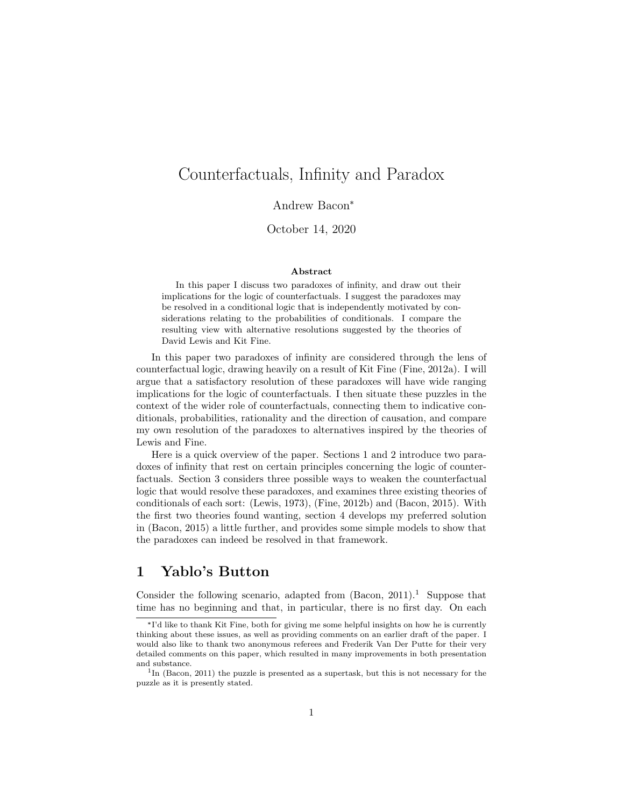# Counterfactuals, Infinity and Paradox

Andrew Bacon\*

October 14, 2020

#### Abstract

In this paper I discuss two paradoxes of infinity, and draw out their implications for the logic of counterfactuals. I suggest the paradoxes may be resolved in a conditional logic that is independently motivated by considerations relating to the probabilities of conditionals. I compare the resulting view with alternative resolutions suggested by the theories of David Lewis and Kit Fine.

In this paper two paradoxes of infinity are considered through the lens of counterfactual logic, drawing heavily on a result of Kit Fine (Fine, 2012a). I will argue that a satisfactory resolution of these paradoxes will have wide ranging implications for the logic of counterfactuals. I then situate these puzzles in the context of the wider role of counterfactuals, connecting them to indicative conditionals, probabilities, rationality and the direction of causation, and compare my own resolution of the paradoxes to alternatives inspired by the theories of Lewis and Fine.

Here is a quick overview of the paper. Sections 1 and 2 introduce two paradoxes of infinity that rest on certain principles concerning the logic of counterfactuals. Section 3 considers three possible ways to weaken the counterfactual logic that would resolve these paradoxes, and examines three existing theories of conditionals of each sort: (Lewis, 1973), (Fine, 2012b) and (Bacon, 2015). With the first two theories found wanting, section 4 develops my preferred solution in (Bacon, 2015) a little further, and provides some simple models to show that the paradoxes can indeed be resolved in that framework.

## 1 Yablo's Button

Consider the following scenario, adapted from  $(Bacon, 2011).$ <sup>1</sup> Suppose that time has no beginning and that, in particular, there is no first day. On each

<sup>\*</sup> I'd like to thank Kit Fine, both for giving me some helpful insights on how he is currently thinking about these issues, as well as providing comments on an earlier draft of the paper. I would also like to thank two anonymous referees and Frederik Van Der Putte for their very detailed comments on this paper, which resulted in many improvements in both presentation and substance.

<sup>&</sup>lt;sup>1</sup>In (Bacon, 2011) the puzzle is presented as a supertask, but this is not necessary for the puzzle as it is presently stated.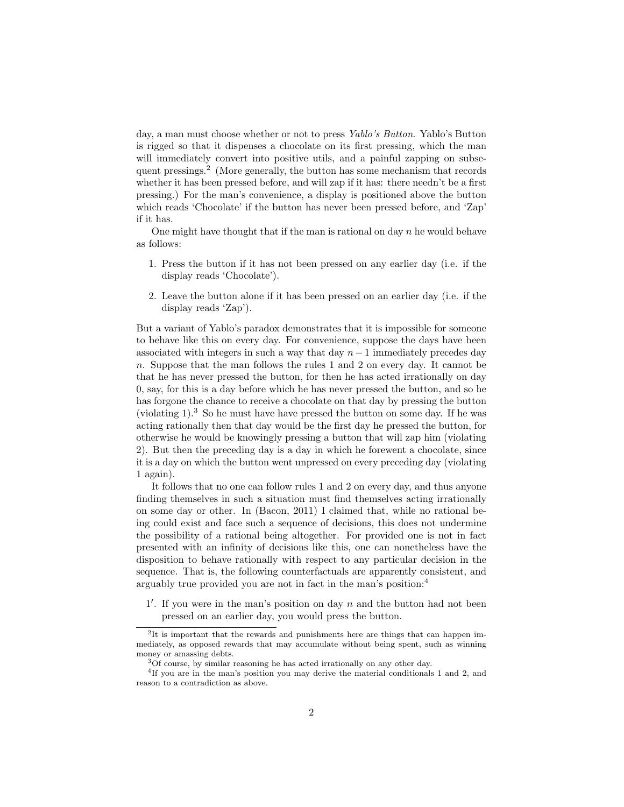day, a man must choose whether or not to press Yablo's Button. Yablo's Button is rigged so that it dispenses a chocolate on its first pressing, which the man will immediately convert into positive utils, and a painful zapping on subsequent pressings.<sup>2</sup> (More generally, the button has some mechanism that records whether it has been pressed before, and will zap if it has: there needn't be a first pressing.) For the man's convenience, a display is positioned above the button which reads 'Chocolate' if the button has never been pressed before, and 'Zap' if it has.

One might have thought that if the man is rational on day  $n$  he would behave as follows:

- 1. Press the button if it has not been pressed on any earlier day (i.e. if the display reads 'Chocolate').
- 2. Leave the button alone if it has been pressed on an earlier day (i.e. if the display reads 'Zap').

But a variant of Yablo's paradox demonstrates that it is impossible for someone to behave like this on every day. For convenience, suppose the days have been associated with integers in such a way that day  $n-1$  immediately precedes day n. Suppose that the man follows the rules 1 and 2 on every day. It cannot be that he has never pressed the button, for then he has acted irrationally on day 0, say, for this is a day before which he has never pressed the button, and so he has forgone the chance to receive a chocolate on that day by pressing the button (violating  $1$ ).<sup>3</sup> So he must have have pressed the button on some day. If he was acting rationally then that day would be the first day he pressed the button, for otherwise he would be knowingly pressing a button that will zap him (violating 2). But then the preceding day is a day in which he forewent a chocolate, since it is a day on which the button went unpressed on every preceding day (violating 1 again).

It follows that no one can follow rules 1 and 2 on every day, and thus anyone finding themselves in such a situation must find themselves acting irrationally on some day or other. In (Bacon, 2011) I claimed that, while no rational being could exist and face such a sequence of decisions, this does not undermine the possibility of a rational being altogether. For provided one is not in fact presented with an infinity of decisions like this, one can nonetheless have the disposition to behave rationally with respect to any particular decision in the sequence. That is, the following counterfactuals are apparently consistent, and arguably true provided you are not in fact in the man's position:<sup>4</sup>

 $1'$ . If you were in the man's position on day  $n$  and the button had not been pressed on an earlier day, you would press the button.

 ${}^{2}$ It is important that the rewards and punishments here are things that can happen immediately, as opposed rewards that may accumulate without being spent, such as winning money or amassing debts.

<sup>3</sup>Of course, by similar reasoning he has acted irrationally on any other day.

<sup>&</sup>lt;sup>4</sup>If you are in the man's position you may derive the material conditionals 1 and 2, and reason to a contradiction as above.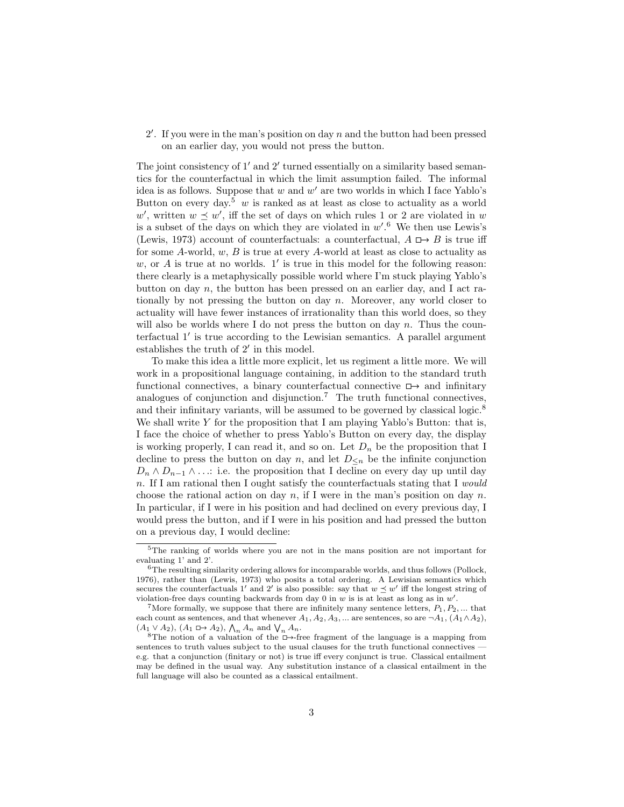$2'$ . If you were in the man's position on day  $n$  and the button had been pressed on an earlier day, you would not press the button.

The joint consistency of 1' and 2' turned essentially on a similarity based semantics for the counterfactual in which the limit assumption failed. The informal idea is as follows. Suppose that  $w$  and  $w'$  are two worlds in which I face Yablo's Button on every day.<sup>5</sup> w is ranked as at least as close to actuality as a world w', written  $w \preceq w'$ , iff the set of days on which rules 1 or 2 are violated in w is a subset of the days on which they are violated in  $w'.<sup>6</sup>$  We then use Lewis's (Lewis, 1973) account of counterfactuals: a counterfactual,  $A \Box B$  is true iff for some  $A$ -world,  $w, B$  is true at every  $A$ -world at least as close to actuality as  $w$ , or  $A$  is true at no worlds.  $1'$  is true in this model for the following reason: there clearly is a metaphysically possible world where I'm stuck playing Yablo's button on day  $n$ , the button has been pressed on an earlier day, and I act rationally by not pressing the button on day  $n$ . Moreover, any world closer to actuality will have fewer instances of irrationality than this world does, so they will also be worlds where I do not press the button on day n. Thus the counterfactual  $1'$  is true according to the Lewisian semantics. A parallel argument establishes the truth of  $2'$  in this model.

To make this idea a little more explicit, let us regiment a little more. We will work in a propositional language containing, in addition to the standard truth functional connectives, a binary counterfactual connective  $\Box$  and infinitary analogues of conjunction and disjunction.<sup>7</sup> The truth functional connectives, and their infinitary variants, will be assumed to be governed by classical logic.<sup>8</sup> We shall write Y for the proposition that I am playing Yablo's Button: that is, I face the choice of whether to press Yablo's Button on every day, the display is working properly, I can read it, and so on. Let  $D_n$  be the proposition that I decline to press the button on day n, and let  $D_{\leq n}$  be the infinite conjunction  $D_n \wedge D_{n-1} \wedge \ldots$ : i.e. the proposition that I decline on every day up until day n. If I am rational then I ought satisfy the counterfactuals stating that I would choose the rational action on day n, if I were in the man's position on day n. In particular, if I were in his position and had declined on every previous day, I would press the button, and if I were in his position and had pressed the button on a previous day, I would decline:

<sup>5</sup>The ranking of worlds where you are not in the mans position are not important for evaluating 1' and 2'.

<sup>6</sup>The resulting similarity ordering allows for incomparable worlds, and thus follows (Pollock, 1976), rather than (Lewis, 1973) who posits a total ordering. A Lewisian semantics which secures the counterfactuals 1' and 2' is also possible: say that  $w \preceq w'$  iff the longest string of violation-free days counting backwards from day  $0$  in  $w$  is is at least as long as in  $w'$ .

More formally, we suppose that there are infinitely many sentence letters,  $P_1, P_2, \ldots$  that each count as sentences, and that whenever  $A_1, A_2, A_3, ...$  are sentences, so are  $\neg A_1$ ,  $(A_1 \wedge A_2)$ ,  $(A_1 \vee A_2), (A_1 \square \rightarrow A_2), \Lambda_n A_n$  and  $\bigvee_n A_n$ .

<sup>&</sup>lt;sup>8</sup>The notion of a valuation of the  $\Box$ -free fragment of the language is a mapping from sentences to truth values subject to the usual clauses for the truth functional connectives e.g. that a conjunction (finitary or not) is true iff every conjunct is true. Classical entailment may be defined in the usual way. Any substitution instance of a classical entailment in the full language will also be counted as a classical entailment.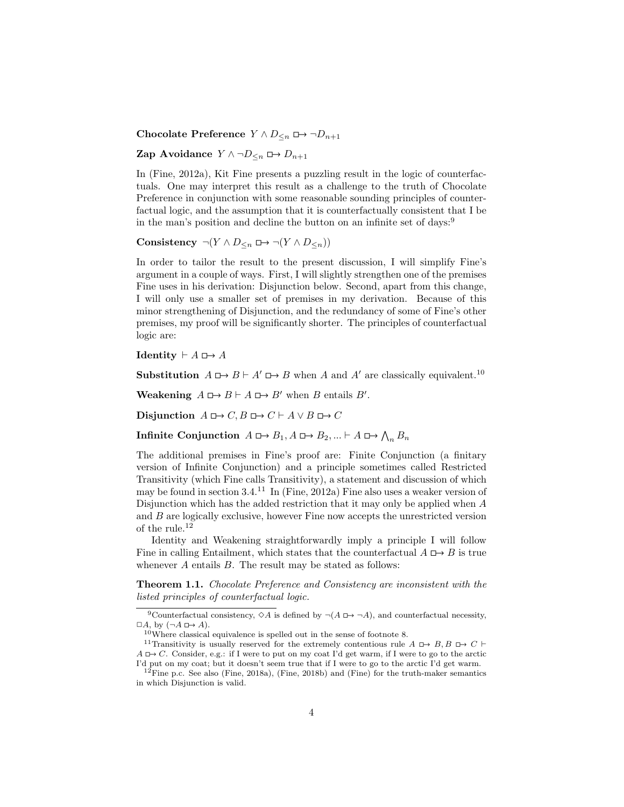Chocolate Preference  $Y \wedge D_{\leq n} \square \rightarrow \neg D_{n+1}$ 

Zap Avoidance  $Y \wedge \neg D_{\leq n} \Box \rightarrow D_{n+1}$ 

In (Fine, 2012a), Kit Fine presents a puzzling result in the logic of counterfactuals. One may interpret this result as a challenge to the truth of Chocolate Preference in conjunction with some reasonable sounding principles of counterfactual logic, and the assumption that it is counterfactually consistent that I be in the man's position and decline the button on an infinite set of days:<sup>9</sup>

Consistency  $\neg(Y \land D_{\leq n} \Box \rightarrow \neg(Y \land D_{\leq n}))$ 

In order to tailor the result to the present discussion, I will simplify Fine's argument in a couple of ways. First, I will slightly strengthen one of the premises Fine uses in his derivation: Disjunction below. Second, apart from this change, I will only use a smaller set of premises in my derivation. Because of this minor strengthening of Disjunction, and the redundancy of some of Fine's other premises, my proof will be significantly shorter. The principles of counterfactual logic are:

**Identity**  $\vdash A \rightrightarrows A$ 

**Substitution**  $A \rightharpoonup B \rightharpoonup A' \rightharpoonup B$  when A and A' are classically equivalent.<sup>10</sup>

**Weakening**  $A \square \rightarrow B \vdash A \square \rightarrow B'$  when B entails B'.

Disjunction  $A \Box \rightarrow C, B \Box \rightarrow C \vdash A \lor B \Box \rightarrow C$ 

Infinite Conjunction  $A \rightharpoonup B_1, A \rightharpoonup B_2, ... \rightharpoonup A \rightharpoonup \bigwedge_n B_n$ 

The additional premises in Fine's proof are: Finite Conjunction (a finitary version of Infinite Conjunction) and a principle sometimes called Restricted Transitivity (which Fine calls Transitivity), a statement and discussion of which may be found in section  $3.4^{11}$  In (Fine, 2012a) Fine also uses a weaker version of Disjunction which has the added restriction that it may only be applied when A and  $B$  are logically exclusive, however Fine now accepts the unrestricted version of the rule.<sup>12</sup>

Identity and Weakening straightforwardly imply a principle I will follow Fine in calling Entailment, which states that the counterfactual  $A \rightharpoonup B$  is true whenever  $A$  entails  $B$ . The result may be stated as follows:

Theorem 1.1. Chocolate Preference and Consistency are inconsistent with the listed principles of counterfactual logic.

<sup>&</sup>lt;sup>9</sup>Counterfactual consistency,  $\Diamond A$  is defined by  $\neg(A \Box \rightarrow \neg A)$ , and counterfactual necessity,  $\Box A$ , by  $(\neg A \Box \rightarrow A)$ .

<sup>10</sup>Where classical equivalence is spelled out in the sense of footnote 8.

<sup>&</sup>lt;sup>11</sup>Transitivity is usually reserved for the extremely contentious rule A  $\Box \rightarrow B, B \Box \rightarrow C \vdash$  $A \Box \rightarrow C$ . Consider, e.g.: if I were to put on my coat I'd get warm, if I were to go to the arctic I'd put on my coat; but it doesn't seem true that if I were to go to the arctic I'd get warm.

<sup>&</sup>lt;sup>12</sup>Fine p.c. See also (Fine, 2018a), (Fine, 2018b) and (Fine) for the truth-maker semantics in which Disjunction is valid.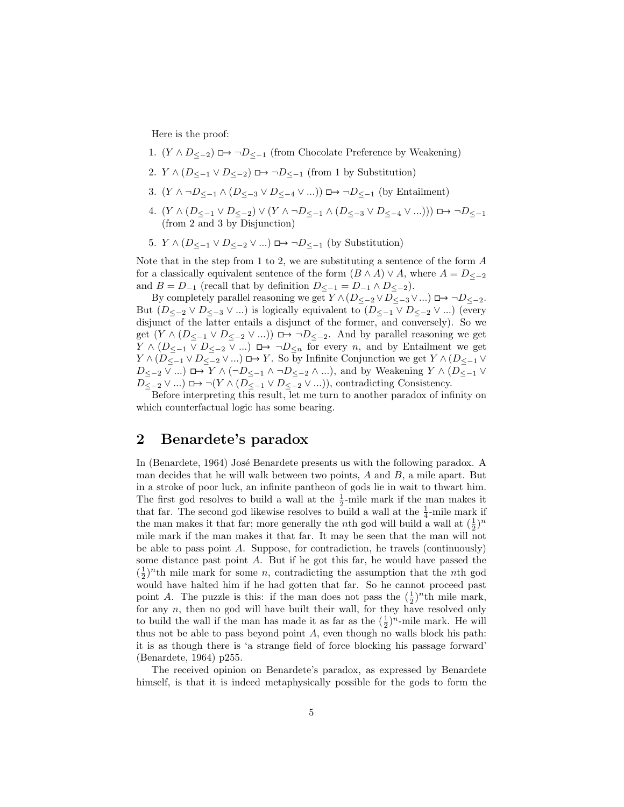Here is the proof:

- 1.  $(Y \wedge D_{\le -2}) \square \rightarrow \neg D_{\le -1}$  (from Chocolate Preference by Weakening)
- 2.  $Y \wedge (D_{\leq -1} \vee D_{\leq -2}) \square \rightarrow \neg D_{\leq -1}$  (from 1 by Substitution)
- 3.  $(Y \wedge \neg D_{\leq -1} \wedge (D_{\leq -3} \vee D_{\leq -4} \vee ...)$   $\Box \rightarrow \neg D_{\leq -1}$  (by Entailment)
- 4.  $(Y \wedge (D_{\leq -1} \vee D_{\leq -2}) \vee (Y \wedge \neg D_{\leq -1} \wedge (D_{\leq -3} \vee D_{\leq -4} \vee ...) )) \square \rightarrow \neg D_{\leq -1}$ (from 2 and 3 by Disjunction)
- 5.  $Y \wedge (D_{\leq -1} \vee D_{\leq -2} \vee ...)$   $\Box \rightarrow \neg D_{\leq -1}$  (by Substitution)

Note that in the step from 1 to 2, we are substituting a sentence of the form A for a classically equivalent sentence of the form  $(B \wedge A) \vee A$ , where  $A = D_{\le -2}$ and  $B = D_{-1}$  (recall that by definition  $D_{\leq -1} = D_{-1} \wedge D_{\leq -2}$ ).

By completely parallel reasoning we get  $Y \wedge (D_{\leq -2} \vee D_{\leq -3} \vee ...)$   $\Box \rightarrow \neg D_{\leq -2}$ . But  $(D_{\leq -2} \vee D_{\leq -3} \vee ...)$  is logically equivalent to  $(D_{\leq -1} \vee D_{\leq -2} \vee ...)$  (every disjunct of the latter entails a disjunct of the former, and conversely). So we get  $(Y \wedge (D_{\leq -1} \vee D_{\leq -2} \vee ...)$   $\Box \rightarrow \neg D_{\leq -2}$ . And by parallel reasoning we get  $Y \wedge (D_{\leq -1} \vee D_{\leq -2} \vee ...)$   $\Box \rightarrow \neg D_{\leq n}$  for every *n*, and by Entailment we get  $Y \wedge (D_{\leq -1} \vee D_{\leq -2} \vee ...)$   $\Box$   $\rightarrow$  Y. So by Infinite Conjunction we get  $Y \wedge (D_{\leq -1} \vee D_{\leq -1} \vee D_{\leq -1} \vee D_{\leq -1} \vee D_{\leq -1} \vee D_{\leq -1} \vee D_{\leq -1} \vee D_{\leq -1} \vee D_{\leq -1} \vee D_{\leq -1} \vee D_{\leq -1} \vee D_{\leq -1} \vee D_{\le$  $D_{\leq -2} \vee ...$ )  $\Box \rightarrow Y \wedge (\neg D_{\leq -1} \wedge \neg D_{\leq -2} \wedge ...),$  and by Weakening  $Y \wedge (D_{\leq -1} \vee \neg D_{\leq -1} \wedge \neg D_{\leq -1} \wedge ...)$  $D_{\leq -2} \vee ...$ ) □→ ¬( $Y \wedge (D_{\leq -1} \vee D_{\leq -2} \vee ...)$ ), contradicting Consistency.

Before interpreting this result, let me turn to another paradox of infinity on which counterfactual logic has some bearing.

## 2 Benardete's paradox

In (Benardete, 1964) José Benardete presents us with the following paradox. A man decides that he will walk between two points,  $A$  and  $B$ , a mile apart. But in a stroke of poor luck, an infinite pantheon of gods lie in wait to thwart him. The first god resolves to build a wall at the  $\frac{1}{2}$ -mile mark if the man makes it that far. The second god likewise resolves to build a wall at the  $\frac{1}{4}$ -mile mark if the man makes it that far; more generally the *n*th god will build a wall at  $(\frac{1}{2})^n$ mile mark if the man makes it that far. It may be seen that the man will not be able to pass point A. Suppose, for contradiction, he travels (continuously) some distance past point A. But if he got this far, he would have passed the  $(\frac{1}{2})^n$ th mile mark for some *n*, contradicting the assumption that the *n*th god would have halted him if he had gotten that far. So he cannot proceed past point A. The puzzle is this: if the man does not pass the  $(\frac{1}{2})^n$ th mile mark, for any n, then no god will have built their wall, for they have resolved only to build the wall if the man has made it as far as the  $(\frac{1}{2})^n$ -mile mark. He will thus not be able to pass beyond point  $A$ , even though no walls block his path: it is as though there is 'a strange field of force blocking his passage forward' (Benardete, 1964) p255.

The received opinion on Benardete's paradox, as expressed by Benardete himself, is that it is indeed metaphysically possible for the gods to form the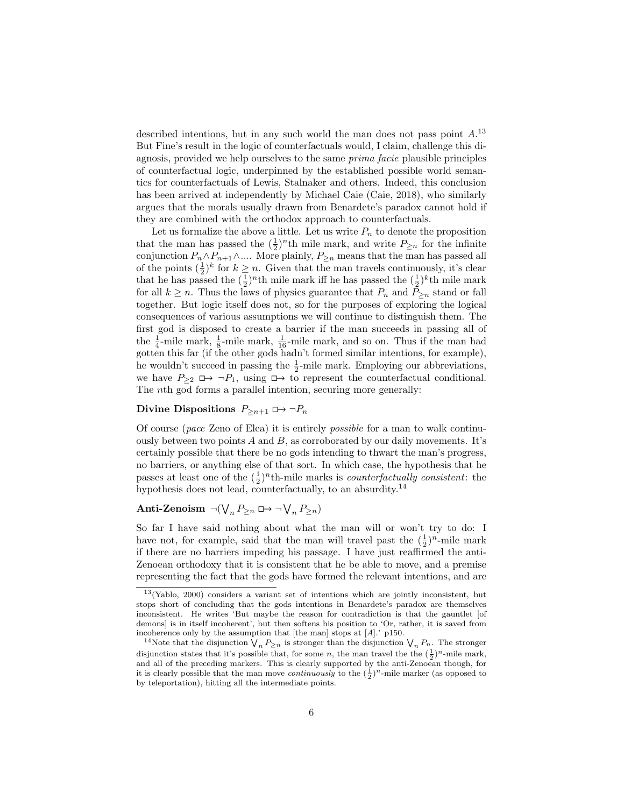described intentions, but in any such world the man does not pass point  $A$ <sup>13</sup> But Fine's result in the logic of counterfactuals would, I claim, challenge this diagnosis, provided we help ourselves to the same prima facie plausible principles of counterfactual logic, underpinned by the established possible world semantics for counterfactuals of Lewis, Stalnaker and others. Indeed, this conclusion has been arrived at independently by Michael Caie (Caie, 2018), who similarly argues that the morals usually drawn from Benardete's paradox cannot hold if they are combined with the orthodox approach to counterfactuals.

Let us formalize the above a little. Let us write  $P_n$  to denote the proposition that the man has passed the  $(\frac{1}{2})^n$ th mile mark, and write  $P_{\geq n}$  for the infinite conjunction  $P_n \wedge P_{n+1} \wedge \dots$  More plainly,  $P_{\geq n}$  means that the man has passed all of the points  $(\frac{1}{2})^k$  for  $k \geq n$ . Given that the man travels continuously, it's clear that he has passed the  $(\frac{1}{2})^n$ th mile mark iff he has passed the  $(\frac{1}{2})^k$ th mile mark for all  $k \geq n$ . Thus the laws of physics guarantee that  $P_n$  and  $P_{\geq n}$  stand or fall together. But logic itself does not, so for the purposes of exploring the logical consequences of various assumptions we will continue to distinguish them. The first god is disposed to create a barrier if the man succeeds in passing all of the  $\frac{1}{4}$ -mile mark,  $\frac{1}{8}$ -mile mark,  $\frac{1}{16}$ -mile mark, and so on. Thus if the man had gotten this far (if the other gods hadn't formed similar intentions, for example), he wouldn't succeed in passing the  $\frac{1}{2}$ -mile mark. Employing our abbreviations, we have  $P_{\geq 2} \square \rightarrow \neg P_1$ , using  $\square \rightarrow$  to represent the counterfactual conditional. The nth god forms a parallel intention, securing more generally:

#### Divine Dispositions  $P_{\geq n+1} \square \rightarrow \neg P_n$

Of course (pace Zeno of Elea) it is entirely possible for a man to walk continuously between two points  $A$  and  $B$ , as corroborated by our daily movements. It's certainly possible that there be no gods intending to thwart the man's progress, no barriers, or anything else of that sort. In which case, the hypothesis that he passes at least one of the  $(\frac{1}{2})^n$ th-mile marks is *counterfactually consistent*: the hypothesis does not lead, counterfactually, to an absurdity.<sup>14</sup>

# Anti-Zenoism  $\neg(\bigvee_n P_{\geq n} \Box \rightarrow \neg \bigvee_n P_{\geq n})$

So far I have said nothing about what the man will or won't try to do: I have not, for example, said that the man will travel past the  $(\frac{1}{2})^n$ -mile mark if there are no barriers impeding his passage. I have just reaffirmed the anti-Zenoean orthodoxy that it is consistent that he be able to move, and a premise representing the fact that the gods have formed the relevant intentions, and are

<sup>13</sup>(Yablo, 2000) considers a variant set of intentions which are jointly inconsistent, but stops short of concluding that the gods intentions in Benardete's paradox are themselves inconsistent. He writes 'But maybe the reason for contradiction is that the gauntlet [of demons] is in itself incoherent', but then softens his position to 'Or, rather, it is saved from incoherence only by the assumption that [the man] stops at [A].' p150.

<sup>&</sup>lt;sup>14</sup>Note that the disjunction  $\bigvee_n P_{\geq n}$  is stronger than the disjunction  $\bigvee_n P_n$ . The stronger disjunction states that it's possible that, for some *n*, the man travel the the  $(\frac{1}{2})^n$ -mile mark, and all of the preceding markers. This is clearly supported by the anti-Zenoean though, for it is clearly possible that the man move *continuously* to the  $(\frac{1}{2})^n$ -mile marker (as opposed to by teleportation), hitting all the intermediate points.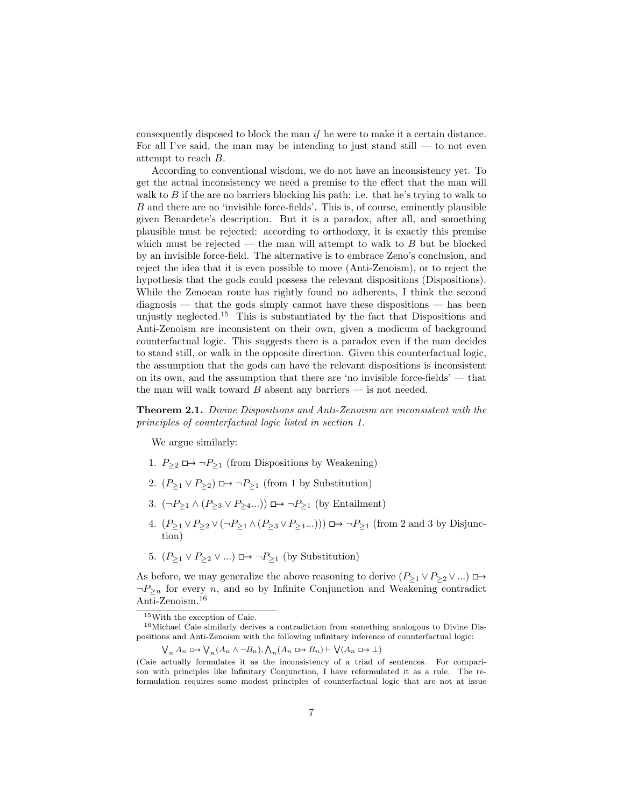consequently disposed to block the man if he were to make it a certain distance. For all I've said, the man may be intending to just stand still  $-$  to not even attempt to reach B.

According to conventional wisdom, we do not have an inconsistency yet. To get the actual inconsistency we need a premise to the effect that the man will walk to  $B$  if the are no barriers blocking his path: i.e. that he's trying to walk to B and there are no 'invisible force-fields'. This is, of course, eminently plausible given Benardete's description. But it is a paradox, after all, and something plausible must be rejected: according to orthodoxy, it is exactly this premise which must be rejected — the man will attempt to walk to  $B$  but be blocked by an invisible force-field. The alternative is to embrace Zeno's conclusion, and reject the idea that it is even possible to move (Anti-Zenoism), or to reject the hypothesis that the gods could possess the relevant dispositions (Dispositions). While the Zenoean route has rightly found no adherents, I think the second diagnosis — that the gods simply cannot have these dispositions — has been unjustly neglected.<sup>15</sup> This is substantiated by the fact that Dispositions and Anti-Zenoism are inconsistent on their own, given a modicum of background counterfactual logic. This suggests there is a paradox even if the man decides to stand still, or walk in the opposite direction. Given this counterfactual logic, the assumption that the gods can have the relevant dispositions is inconsistent on its own, and the assumption that there are 'no invisible force-fields' — that the man will walk toward  $B$  absent any barriers — is not needed.

Theorem 2.1. Divine Dispositions and Anti-Zenoism are inconsistent with the principles of counterfactual logic listed in section 1.

We argue similarly:

- 1.  $P_{\geq 2} \square \rightarrow \neg P_{\geq 1}$  (from Dispositions by Weakening)
- 2.  $(P_{\geq 1} \vee P_{\geq 2}) \square \rightarrow \neg P_{\geq 1}$  (from 1 by Substitution)
- 3.  $(\neg P_{\geq 1} \land (P_{\geq 3} \lor P_{\geq 4} ...)$   $\Box \rightarrow \neg P_{\geq 1}$  (by Entailment)
- 4.  $(P_{\geq 1} \vee P_{\geq 2} \vee (\neg P_{\geq 1} \wedge (P_{\geq 3} \vee P_{\geq 4} ...) ) \implies \neg P_{\geq 1}$  (from 2 and 3 by Disjunction)
- 5.  $(P_{\geq 1} \vee P_{\geq 2} \vee ...)$   $\Box \rightarrow \neg P_{\geq 1}$  (by Substitution)

As before, we may generalize the above reasoning to derive  $(P_{\geq 1} \vee P_{\geq 2} \vee ...)$  $\neg P_{\geq n}$  for every *n*, and so by Infinite Conjunction and Weakening contradict Anti-Zenoism.<sup>16</sup>

 $\bigvee_n A_n \cup \longrightarrow \bigvee_n (A_n \land \neg B_n), \bigwedge_n (A_n \cup \longrightarrow B_n) \vdash \bigvee (A_n \cup \longrightarrow \bot)$ 

<sup>15</sup>With the exception of Caie.

<sup>16</sup>Michael Caie similarly derives a contradiction from something analogous to Divine Dispositions and Anti-Zenoism with the following infinitary inference of counterfactual logic:

<sup>(</sup>Caie actually formulates it as the inconsistency of a triad of sentences. For comparison with principles like Infinitary Conjunction, I have reformulated it as a rule. The reformulation requires some modest principles of counterfactual logic that are not at issue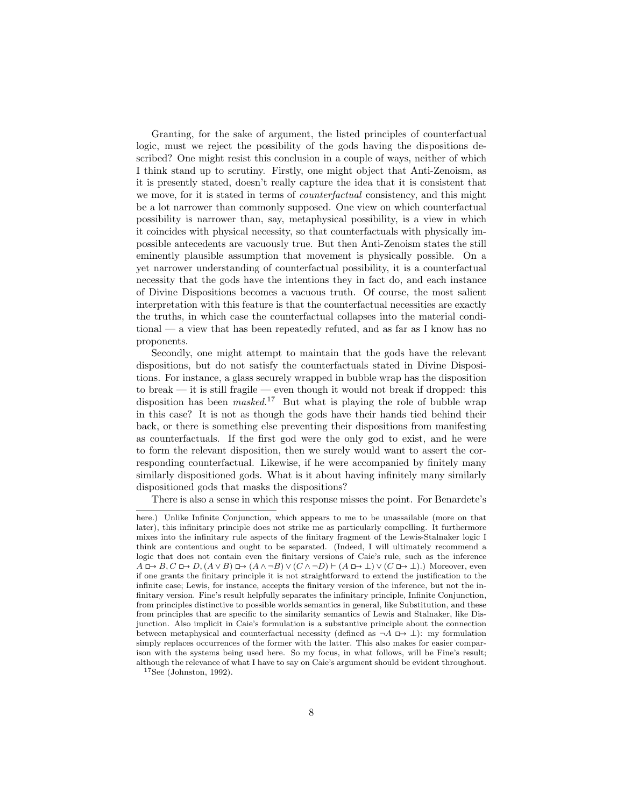Granting, for the sake of argument, the listed principles of counterfactual logic, must we reject the possibility of the gods having the dispositions described? One might resist this conclusion in a couple of ways, neither of which I think stand up to scrutiny. Firstly, one might object that Anti-Zenoism, as it is presently stated, doesn't really capture the idea that it is consistent that we move, for it is stated in terms of *counterfactual* consistency, and this might be a lot narrower than commonly supposed. One view on which counterfactual possibility is narrower than, say, metaphysical possibility, is a view in which it coincides with physical necessity, so that counterfactuals with physically impossible antecedents are vacuously true. But then Anti-Zenoism states the still eminently plausible assumption that movement is physically possible. On a yet narrower understanding of counterfactual possibility, it is a counterfactual necessity that the gods have the intentions they in fact do, and each instance of Divine Dispositions becomes a vacuous truth. Of course, the most salient interpretation with this feature is that the counterfactual necessities are exactly the truths, in which case the counterfactual collapses into the material conditional — a view that has been repeatedly refuted, and as far as I know has no proponents.

Secondly, one might attempt to maintain that the gods have the relevant dispositions, but do not satisfy the counterfactuals stated in Divine Dispositions. For instance, a glass securely wrapped in bubble wrap has the disposition to break — it is still fragile — even though it would not break if dropped: this disposition has been  $masked$ <sup>17</sup> But what is playing the role of bubble wrap in this case? It is not as though the gods have their hands tied behind their back, or there is something else preventing their dispositions from manifesting as counterfactuals. If the first god were the only god to exist, and he were to form the relevant disposition, then we surely would want to assert the corresponding counterfactual. Likewise, if he were accompanied by finitely many similarly dispositioned gods. What is it about having infinitely many similarly dispositioned gods that masks the dispositions?

There is also a sense in which this response misses the point. For Benardete's

here.) Unlike Infinite Conjunction, which appears to me to be unassailable (more on that later), this infinitary principle does not strike me as particularly compelling. It furthermore mixes into the infinitary rule aspects of the finitary fragment of the Lewis-Stalnaker logic I think are contentious and ought to be separated. (Indeed, I will ultimately recommend a logic that does not contain even the finitary versions of Caie's rule, such as the inference  $A \Box \rightarrow B, C \Box \rightarrow D, (A \lor B) \Box \rightarrow (A \land \neg B) \lor (C \land \neg D) \vdash (A \Box \rightarrow \bot) \lor (C \Box \rightarrow \bot).)$  Moreover, even if one grants the finitary principle it is not straightforward to extend the justification to the infinite case; Lewis, for instance, accepts the finitary version of the inference, but not the infinitary version. Fine's result helpfully separates the infinitary principle, Infinite Conjunction, from principles distinctive to possible worlds semantics in general, like Substitution, and these from principles that are specific to the similarity semantics of Lewis and Stalnaker, like Disjunction. Also implicit in Caie's formulation is a substantive principle about the connection between metaphysical and counterfactual necessity (defined as  $\neg A \Box \rightarrow \bot$ ): my formulation simply replaces occurrences of the former with the latter. This also makes for easier comparison with the systems being used here. So my focus, in what follows, will be Fine's result; although the relevance of what I have to say on Caie's argument should be evident throughout.

<sup>17</sup>See (Johnston, 1992).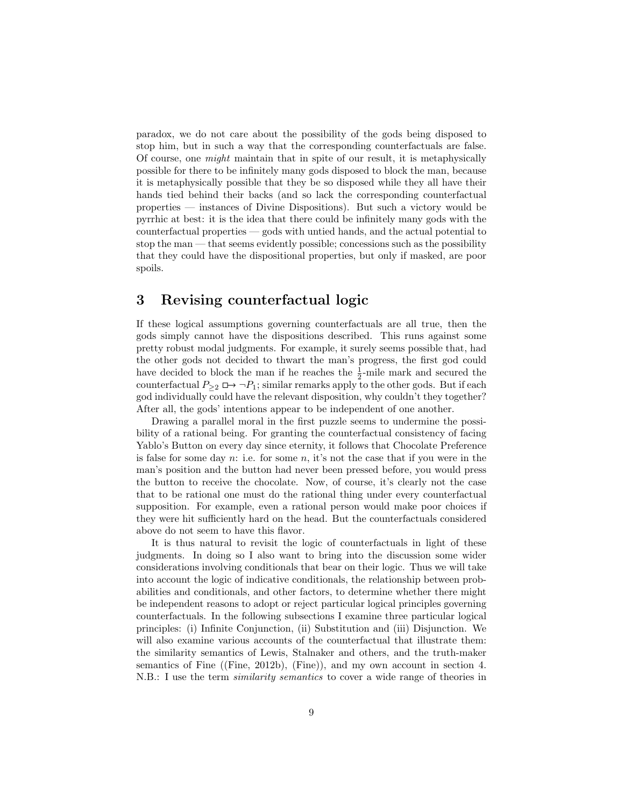paradox, we do not care about the possibility of the gods being disposed to stop him, but in such a way that the corresponding counterfactuals are false. Of course, one might maintain that in spite of our result, it is metaphysically possible for there to be infinitely many gods disposed to block the man, because it is metaphysically possible that they be so disposed while they all have their hands tied behind their backs (and so lack the corresponding counterfactual properties — instances of Divine Dispositions). But such a victory would be pyrrhic at best: it is the idea that there could be infinitely many gods with the counterfactual properties — gods with untied hands, and the actual potential to stop the man — that seems evidently possible; concessions such as the possibility that they could have the dispositional properties, but only if masked, are poor spoils.

## 3 Revising counterfactual logic

If these logical assumptions governing counterfactuals are all true, then the gods simply cannot have the dispositions described. This runs against some pretty robust modal judgments. For example, it surely seems possible that, had the other gods not decided to thwart the man's progress, the first god could have decided to block the man if he reaches the  $\frac{1}{2}$ -mile mark and secured the counterfactual  $P_{\geq 2} \square \rightarrow \neg P_1$ ; similar remarks apply to the other gods. But if each god individually could have the relevant disposition, why couldn't they together? After all, the gods' intentions appear to be independent of one another.

Drawing a parallel moral in the first puzzle seems to undermine the possibility of a rational being. For granting the counterfactual consistency of facing Yablo's Button on every day since eternity, it follows that Chocolate Preference is false for some day  $n:$  i.e. for some  $n$ , it's not the case that if you were in the man's position and the button had never been pressed before, you would press the button to receive the chocolate. Now, of course, it's clearly not the case that to be rational one must do the rational thing under every counterfactual supposition. For example, even a rational person would make poor choices if they were hit sufficiently hard on the head. But the counterfactuals considered above do not seem to have this flavor.

It is thus natural to revisit the logic of counterfactuals in light of these judgments. In doing so I also want to bring into the discussion some wider considerations involving conditionals that bear on their logic. Thus we will take into account the logic of indicative conditionals, the relationship between probabilities and conditionals, and other factors, to determine whether there might be independent reasons to adopt or reject particular logical principles governing counterfactuals. In the following subsections I examine three particular logical principles: (i) Infinite Conjunction, (ii) Substitution and (iii) Disjunction. We will also examine various accounts of the counterfactual that illustrate them: the similarity semantics of Lewis, Stalnaker and others, and the truth-maker semantics of Fine ((Fine, 2012b), (Fine)), and my own account in section 4. N.B.: I use the term similarity semantics to cover a wide range of theories in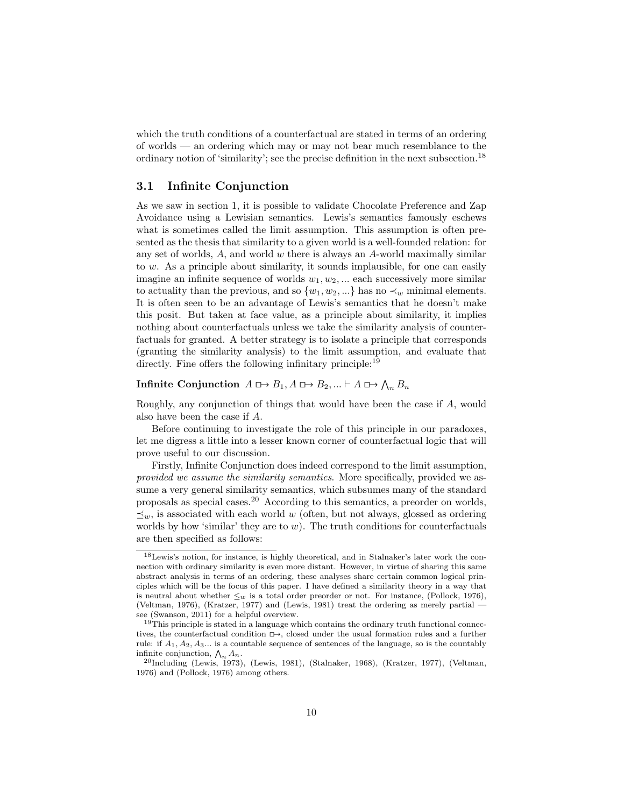which the truth conditions of a counterfactual are stated in terms of an ordering of worlds — an ordering which may or may not bear much resemblance to the ordinary notion of 'similarity'; see the precise definition in the next subsection.<sup>18</sup>

## 3.1 Infinite Conjunction

As we saw in section 1, it is possible to validate Chocolate Preference and Zap Avoidance using a Lewisian semantics. Lewis's semantics famously eschews what is sometimes called the limit assumption. This assumption is often presented as the thesis that similarity to a given world is a well-founded relation: for any set of worlds,  $A$ , and world  $w$  there is always an  $A$ -world maximally similar to w. As a principle about similarity, it sounds implausible, for one can easily imagine an infinite sequence of worlds  $w_1, w_2, \dots$  each successively more similar to actuality than the previous, and so  $\{w_1, w_2, ...\}$  has no  $\prec_w$  minimal elements. It is often seen to be an advantage of Lewis's semantics that he doesn't make this posit. But taken at face value, as a principle about similarity, it implies nothing about counterfactuals unless we take the similarity analysis of counterfactuals for granted. A better strategy is to isolate a principle that corresponds (granting the similarity analysis) to the limit assumption, and evaluate that directly. Fine offers the following infinitary principle:<sup>19</sup>

# Infinite Conjunction  $A \rightharpoonup B_1, A \rightharpoonup B_2, ... \rightharpoonup A \rightharpoonup \bigwedge_n B_n$

Roughly, any conjunction of things that would have been the case if A, would also have been the case if A.

Before continuing to investigate the role of this principle in our paradoxes, let me digress a little into a lesser known corner of counterfactual logic that will prove useful to our discussion.

Firstly, Infinite Conjunction does indeed correspond to the limit assumption, provided we assume the similarity semantics. More specifically, provided we assume a very general similarity semantics, which subsumes many of the standard proposals as special cases.<sup>20</sup> According to this semantics, a preorder on worlds,  $\preceq_w$ , is associated with each world w (often, but not always, glossed as ordering worlds by how 'similar' they are to  $w$ ). The truth conditions for counterfactuals are then specified as follows:

<sup>&</sup>lt;sup>18</sup>Lewis's notion, for instance, is highly theoretical, and in Stalnaker's later work the connection with ordinary similarity is even more distant. However, in virtue of sharing this same abstract analysis in terms of an ordering, these analyses share certain common logical principles which will be the focus of this paper. I have defined a similarity theory in a way that is neutral about whether  $\leq_w$  is a total order preorder or not. For instance, (Pollock, 1976), (Veltman, 1976), (Kratzer, 1977) and (Lewis, 1981) treat the ordering as merely partial see (Swanson, 2011) for a helpful overview.

<sup>&</sup>lt;sup>19</sup>This principle is stated in a language which contains the ordinary truth functional connectives, the counterfactual condition  $\Box$ , closed under the usual formation rules and a further rule: if  $A_1, A_2, A_3...$  is a countable sequence of sentences of the language, so is the countably infinite conjunction,  $\bigwedge_n A_n$ .

 $^{20}$ Including (Lewis, 1973), (Lewis, 1981), (Stalnaker, 1968), (Kratzer, 1977), (Veltman, 1976) and (Pollock, 1976) among others.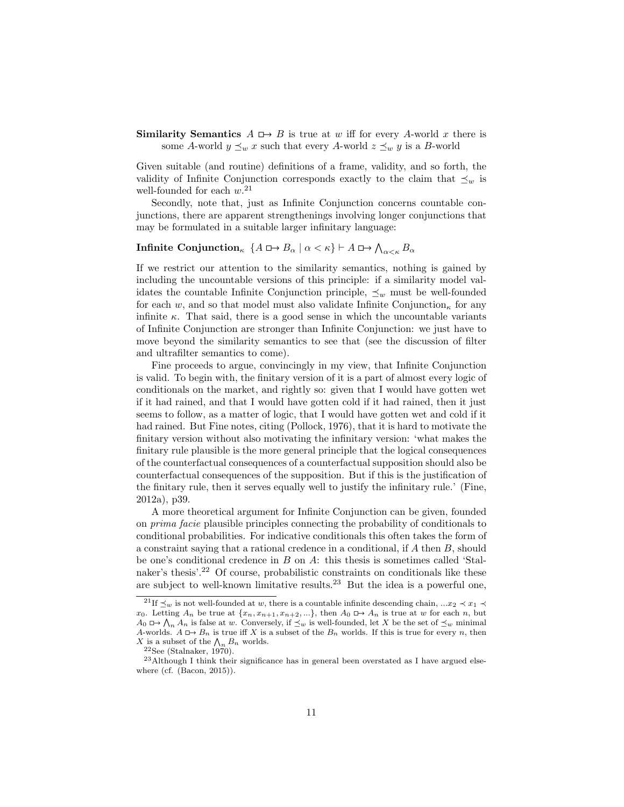**Similarity Semantics**  $A \rightharpoonup B$  is true at w iff for every A-world x there is some A-world  $y \preceq_w x$  such that every A-world  $z \preceq_w y$  is a B-world

Given suitable (and routine) definitions of a frame, validity, and so forth, the validity of Infinite Conjunction corresponds exactly to the claim that  $\preceq_w$  is well-founded for each  $w$ <sup>21</sup>

Secondly, note that, just as Infinite Conjunction concerns countable conjunctions, there are apparent strengthenings involving longer conjunctions that may be formulated in a suitable larger infinitary language:

# **Infinite Conjunction**<sub>k</sub>  $\{A \sqcup B_\alpha \mid \alpha < \kappa\} \vdash A \sqcup \rightarrow \bigwedge_{\alpha < \kappa} B_\alpha$

If we restrict our attention to the similarity semantics, nothing is gained by including the uncountable versions of this principle: if a similarity model validates the countable Infinite Conjunction principle,  $\prec_w$  must be well-founded for each w, and so that model must also validate Infinite Conjunction<sub>k</sub> for any infinite  $\kappa$ . That said, there is a good sense in which the uncountable variants of Infinite Conjunction are stronger than Infinite Conjunction: we just have to move beyond the similarity semantics to see that (see the discussion of filter and ultrafilter semantics to come).

Fine proceeds to argue, convincingly in my view, that Infinite Conjunction is valid. To begin with, the finitary version of it is a part of almost every logic of conditionals on the market, and rightly so: given that I would have gotten wet if it had rained, and that I would have gotten cold if it had rained, then it just seems to follow, as a matter of logic, that I would have gotten wet and cold if it had rained. But Fine notes, citing (Pollock, 1976), that it is hard to motivate the finitary version without also motivating the infinitary version: 'what makes the finitary rule plausible is the more general principle that the logical consequences of the counterfactual consequences of a counterfactual supposition should also be counterfactual consequences of the supposition. But if this is the justification of the finitary rule, then it serves equally well to justify the infinitary rule.' (Fine, 2012a), p39.

A more theoretical argument for Infinite Conjunction can be given, founded on prima facie plausible principles connecting the probability of conditionals to conditional probabilities. For indicative conditionals this often takes the form of a constraint saying that a rational credence in a conditional, if A then B, should be one's conditional credence in B on A: this thesis is sometimes called 'Stalnaker's thesis'.<sup>22</sup> Of course, probabilistic constraints on conditionals like these are subject to well-known limitative results.<sup>23</sup> But the idea is a powerful one,

<sup>&</sup>lt;sup>21</sup>If  $\leq_w$  is not well-founded at w, there is a countable infinite descending chain, ...x<sub>2</sub>  $\prec x_1$  $x_0$ . Letting  $A_n$  be true at  $\{x_n, x_{n+1}, x_{n+2}, ...\}$ , then  $A_0 \rightharpoonup A_n$  is true at w for each n, but  $A_0 \nightharpoonup \bigwedge_n A_n$  is false at w. Conversely, if  $\preceq_w$  is well-founded, let X be the set of  $\preceq_w$  minimal A-worlds.  $A \Box B_n$  is true iff X is a subset of the  $B_n$  worlds. If this is true for every n, then X is a subset of the  $\bigwedge_n B_n$  worlds.

<sup>22</sup>See (Stalnaker, 1970).

<sup>23</sup>Although I think their significance has in general been overstated as I have argued elsewhere (cf. (Bacon, 2015)).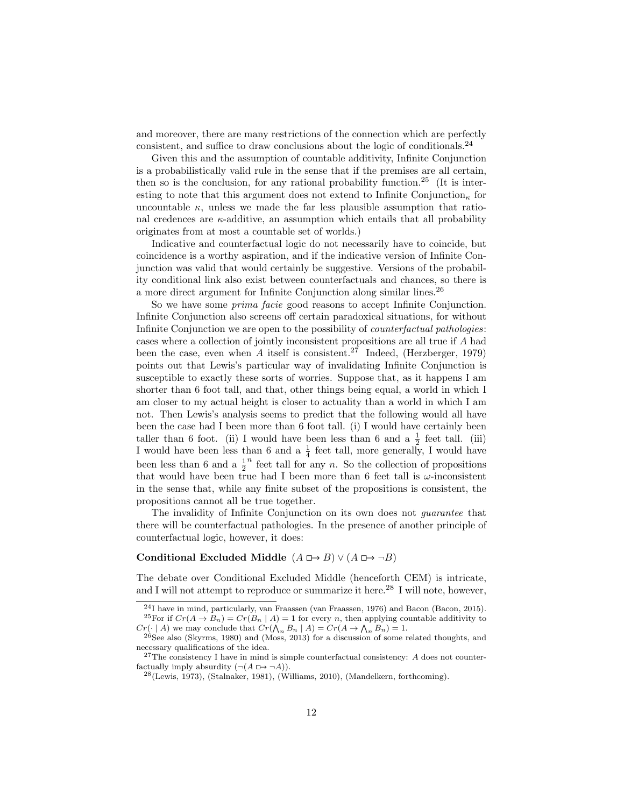and moreover, there are many restrictions of the connection which are perfectly consistent, and suffice to draw conclusions about the logic of conditionals.<sup>24</sup>

Given this and the assumption of countable additivity, Infinite Conjunction is a probabilistically valid rule in the sense that if the premises are all certain, then so is the conclusion, for any rational probability function.<sup>25</sup> (It is interesting to note that this argument does not extend to Infinite Conjunction<sub>k</sub> for uncountable  $\kappa$ , unless we made the far less plausible assumption that rational credences are  $\kappa$ -additive, an assumption which entails that all probability originates from at most a countable set of worlds.)

Indicative and counterfactual logic do not necessarily have to coincide, but coincidence is a worthy aspiration, and if the indicative version of Infinite Conjunction was valid that would certainly be suggestive. Versions of the probability conditional link also exist between counterfactuals and chances, so there is a more direct argument for Infinite Conjunction along similar lines.<sup>26</sup>

So we have some prima facie good reasons to accept Infinite Conjunction. Infinite Conjunction also screens off certain paradoxical situations, for without Infinite Conjunction we are open to the possibility of counterfactual pathologies: cases where a collection of jointly inconsistent propositions are all true if A had been the case, even when A itself is consistent.<sup>27</sup> Indeed, (Herzberger, 1979) points out that Lewis's particular way of invalidating Infinite Conjunction is susceptible to exactly these sorts of worries. Suppose that, as it happens I am shorter than 6 foot tall, and that, other things being equal, a world in which I am closer to my actual height is closer to actuality than a world in which I am not. Then Lewis's analysis seems to predict that the following would all have been the case had I been more than 6 foot tall. (i) I would have certainly been taller than 6 foot. (ii) I would have been less than 6 and a  $\frac{1}{2}$  feet tall. (iii) I would have been less than 6 and a  $\frac{1}{4}$  feet tall, more generally, I would have been less than 6 and a  $\frac{1}{2}$  $n$  feet tall for any n. So the collection of propositions that would have been true had I been more than 6 feet tall is  $\omega$ -inconsistent in the sense that, while any finite subset of the propositions is consistent, the propositions cannot all be true together.

The invalidity of Infinite Conjunction on its own does not guarantee that there will be counterfactual pathologies. In the presence of another principle of counterfactual logic, however, it does:

#### Conditional Excluded Middle  $(A \rightharpoonup B) \vee (A \rightharpoonup \neg B)$

The debate over Conditional Excluded Middle (henceforth CEM) is intricate, and I will not attempt to reproduce or summarize it here.<sup>28</sup> I will note, however,

<sup>24</sup>I have in mind, particularly, van Fraassen (van Fraassen, 1976) and Bacon (Bacon, 2015).

<sup>&</sup>lt;sup>25</sup>For if  $Cr(A \rightarrow B_n) = Cr(B_n | A) = 1$  for every n, then applying countable additivity to  $Cr(\cdot | A)$  we may conclude that  $Cr(\bigwedge_n B_n | A) = Cr(A \to \bigwedge_n B_n) = 1.$ 

 $26$ See also (Skyrms, 1980) and (Moss, 2013) for a discussion of some related thoughts, and necessary qualifications of the idea.

 $^{27}$ The consistency I have in mind is simple counterfactual consistency: A does not counterfactually imply absurdity  $(\neg(A \Box \rightarrow \neg A)).$ 

<sup>28</sup>(Lewis, 1973), (Stalnaker, 1981), (Williams, 2010), (Mandelkern, forthcoming).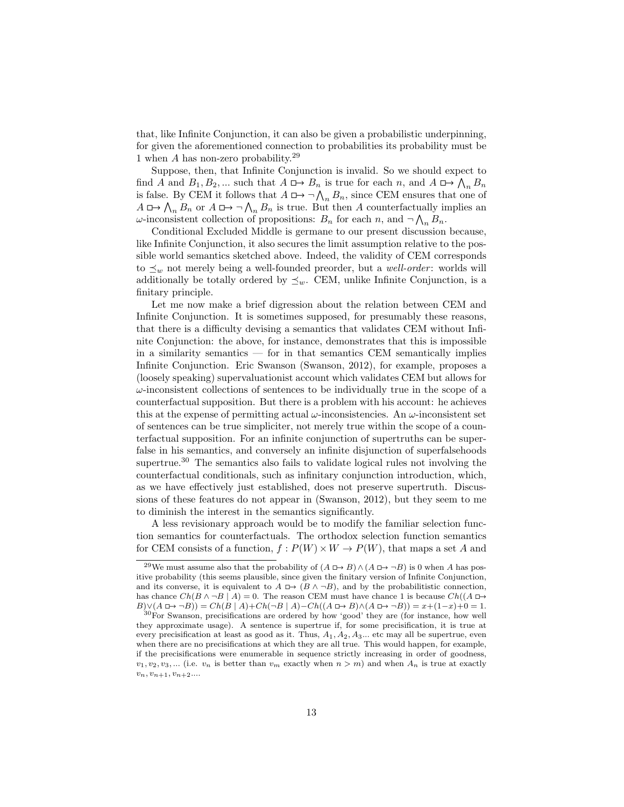that, like Infinite Conjunction, it can also be given a probabilistic underpinning, for given the aforementioned connection to probabilities its probability must be 1 when A has non-zero probability.<sup>29</sup>

Suppose, then, that Infinite Conjunction is invalid. So we should expect to find A and  $B_1, B_2, \dots$  such that  $A \mapsto B_n$  is true for each n, and  $A \mapsto \bigwedge_n B_n$ is false. By CEM it follows that  $A \mapsto \neg \bigwedge_n B_n$ , since CEM ensures that one of  $A \nightharpoonup \bigwedge_n B_n$  or  $A \nightharpoonup \bigwedge_n B_n$  is true. But then A counterfactually implies an  $\omega$ -inconsistent collection of propositions:  $B_n$  for each n, and  $\neg \bigwedge_n B_n$ .

Conditional Excluded Middle is germane to our present discussion because, like Infinite Conjunction, it also secures the limit assumption relative to the possible world semantics sketched above. Indeed, the validity of CEM corresponds to  $\preceq_w$  not merely being a well-founded preorder, but a *well-order*: worlds will additionally be totally ordered by  $\preceq_w$ . CEM, unlike Infinite Conjunction, is a finitary principle.

Let me now make a brief digression about the relation between CEM and Infinite Conjunction. It is sometimes supposed, for presumably these reasons, that there is a difficulty devising a semantics that validates CEM without Infinite Conjunction: the above, for instance, demonstrates that this is impossible in a similarity semantics — for in that semantics CEM semantically implies Infinite Conjunction. Eric Swanson (Swanson, 2012), for example, proposes a (loosely speaking) supervaluationist account which validates CEM but allows for  $\omega$ -inconsistent collections of sentences to be individually true in the scope of a counterfactual supposition. But there is a problem with his account: he achieves this at the expense of permitting actual  $\omega$ -inconsistencies. An  $\omega$ -inconsistent set of sentences can be true simpliciter, not merely true within the scope of a counterfactual supposition. For an infinite conjunction of supertruths can be superfalse in his semantics, and conversely an infinite disjunction of superfalsehoods supertrue.<sup>30</sup> The semantics also fails to validate logical rules not involving the counterfactual conditionals, such as infinitary conjunction introduction, which, as we have effectively just established, does not preserve supertruth. Discussions of these features do not appear in (Swanson, 2012), but they seem to me to diminish the interest in the semantics significantly.

A less revisionary approach would be to modify the familiar selection function semantics for counterfactuals. The orthodox selection function semantics for CEM consists of a function,  $f: P(W) \times W \to P(W)$ , that maps a set A and

<sup>&</sup>lt;sup>29</sup>We must assume also that the probability of  $(A \Box \rightarrow B) \land (A \Box \rightarrow \neg B)$  is 0 when A has positive probability (this seems plausible, since given the finitary version of Infinite Conjunction, and its converse, it is equivalent to  $A \Box \rightarrow (B \land \neg B)$ , and by the probabilitistic connection, has chance  $Ch(B \wedge \neg B \mid A) = 0$ . The reason CEM must have chance 1 is because  $Ch((A \Box \rightarrow$  $B)\vee(A \rightharpoonup \neg B) = Ch(B \mid A)+Ch(\neg B \mid A)-Ch((A \rightharpoonup B) \wedge (A \rightharpoonup \neg B)) = x+(1-x)+0=1.$ 

<sup>30</sup>For Swanson, precisifications are ordered by how 'good' they are (for instance, how well they approximate usage). A sentence is supertrue if, for some precisification, it is true at every precisification at least as good as it. Thus,  $A_1, A_2, A_3...$  etc may all be supertrue, even when there are no precisifications at which they are all true. This would happen, for example, if the precisifications were enumerable in sequence strictly increasing in order of goodness,  $v_1, v_2, v_3, \dots$  (i.e.  $v_n$  is better than  $v_m$  exactly when  $n > m$ ) and when  $A_n$  is true at exactly  $v_n, v_{n+1}, v_{n+2}...$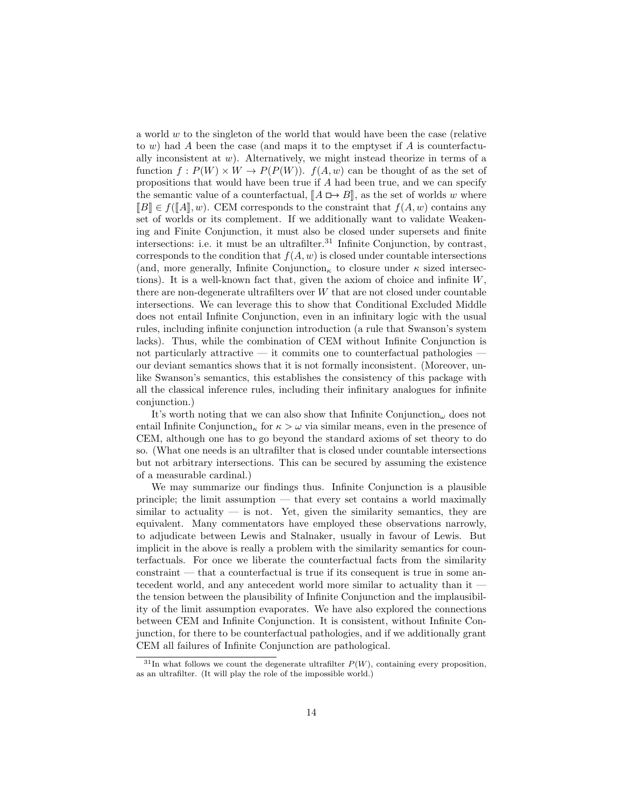a world  $w$  to the singleton of the world that would have been the case (relative to  $w$ ) had A been the case (and maps it to the emptyset if A is counterfactually inconsistent at  $w$ ). Alternatively, we might instead theorize in terms of a function  $f: P(W) \times W \to P(P(W))$ .  $f(A, w)$  can be thought of as the set of propositions that would have been true if A had been true, and we can specify the semantic value of a counterfactual,  $[A \Box B],$  as the set of worlds w where  $\llbracket B \rrbracket \in f(\llbracket A \rrbracket, w)$ . CEM corresponds to the constraint that  $f(A, w)$  contains any set of worlds or its complement. If we additionally want to validate Weakening and Finite Conjunction, it must also be closed under supersets and finite intersections: i.e. it must be an ultrafilter. $31$  Infinite Conjunction, by contrast, corresponds to the condition that  $f(A, w)$  is closed under countable intersections (and, more generally, Infinite Conjunction<sub>κ</sub> to closure under  $\kappa$  sized intersections). It is a well-known fact that, given the axiom of choice and infinite W, there are non-degenerate ultrafilters over W that are not closed under countable intersections. We can leverage this to show that Conditional Excluded Middle does not entail Infinite Conjunction, even in an infinitary logic with the usual rules, including infinite conjunction introduction (a rule that Swanson's system lacks). Thus, while the combination of CEM without Infinite Conjunction is not particularly attractive  $-$  it commits one to counterfactual pathologies  $$ our deviant semantics shows that it is not formally inconsistent. (Moreover, unlike Swanson's semantics, this establishes the consistency of this package with all the classical inference rules, including their infinitary analogues for infinite conjunction.)

It's worth noting that we can also show that Infinite  $Conjunction_{\omega}$  does not entail Infinite Conjunction<sub>κ</sub> for  $\kappa > \omega$  via similar means, even in the presence of CEM, although one has to go beyond the standard axioms of set theory to do so. (What one needs is an ultrafilter that is closed under countable intersections but not arbitrary intersections. This can be secured by assuming the existence of a measurable cardinal.)

We may summarize our findings thus. Infinite Conjunction is a plausible principle; the limit assumption — that every set contains a world maximally similar to actuality  $\overline{\phantom{a}}$  is not. Yet, given the similarity semantics, they are equivalent. Many commentators have employed these observations narrowly, to adjudicate between Lewis and Stalnaker, usually in favour of Lewis. But implicit in the above is really a problem with the similarity semantics for counterfactuals. For once we liberate the counterfactual facts from the similarity constraint — that a counterfactual is true if its consequent is true in some antecedent world, and any antecedent world more similar to actuality than it the tension between the plausibility of Infinite Conjunction and the implausibility of the limit assumption evaporates. We have also explored the connections between CEM and Infinite Conjunction. It is consistent, without Infinite Conjunction, for there to be counterfactual pathologies, and if we additionally grant CEM all failures of Infinite Conjunction are pathological.

 $31$ In what follows we count the degenerate ultrafilter  $P(W)$ , containing every proposition, as an ultrafilter. (It will play the role of the impossible world.)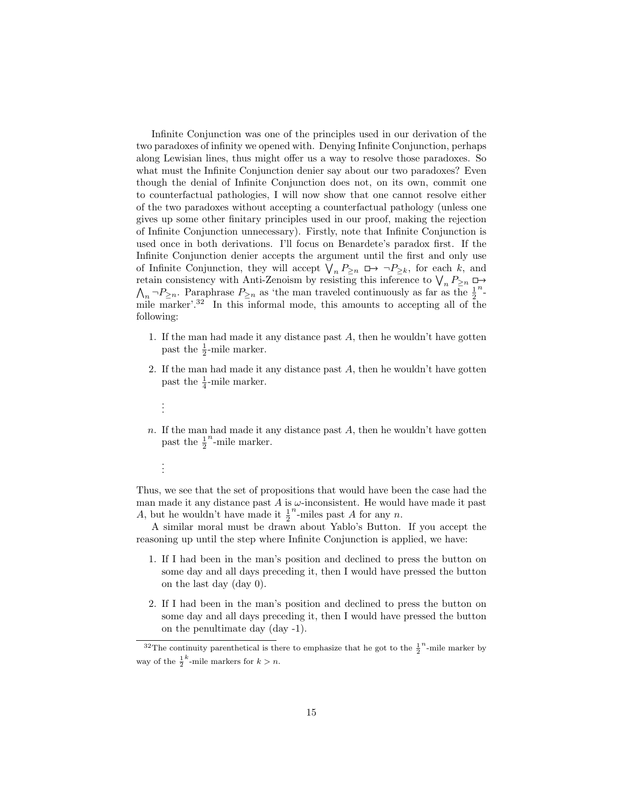Infinite Conjunction was one of the principles used in our derivation of the two paradoxes of infinity we opened with. Denying Infinite Conjunction, perhaps along Lewisian lines, thus might offer us a way to resolve those paradoxes. So what must the Infinite Conjunction denier say about our two paradoxes? Even though the denial of Infinite Conjunction does not, on its own, commit one to counterfactual pathologies, I will now show that one cannot resolve either of the two paradoxes without accepting a counterfactual pathology (unless one gives up some other finitary principles used in our proof, making the rejection of Infinite Conjunction unnecessary). Firstly, note that Infinite Conjunction is used once in both derivations. I'll focus on Benardete's paradox first. If the Infinite Conjunction denier accepts the argument until the first and only use of Infinite Conjunction, they will accept  $\bigvee_n P_{\geq n} \square \rightarrow \neg P_{\geq k}$ , for each k, and retain consistency with Anti-Zenoism by resisting this inference to  $\bigvee_n P_{\geq n} \square$ retain consistency with Anti-Zenoism by resisting this inference to  $\bigvee_n P_{\geq n} \square \rightarrow \bigwedge_n \neg P_{\geq n}$ . Paraphrase  $P_{\geq n}$  as 'the man traveled continuously as far as the  $\frac{1}{2}$ <sup>n</sup>n mile marker'.<sup>32</sup> In this informal mode, this amounts to accepting all of the following:

- 1. If the man had made it any distance past  $A$ , then he wouldn't have gotten past the  $\frac{1}{2}$ -mile marker.
- 2. If the man had made it any distance past  $A$ , then he wouldn't have gotten past the  $\frac{1}{4}$ -mile marker.
	- . . .
- n. If the man had made it any distance past  $A$ , then he wouldn't have gotten past the  $\frac{1}{2}$  $n$ -mile marker.
	- . . .

Thus, we see that the set of propositions that would have been the case had the man made it any distance past  $A$  is  $\omega$ -inconsistent. He would have made it past A, but he wouldn't have made it  $\frac{1}{2}$  $n$ -miles past A for any n.

A similar moral must be drawn about Yablo's Button. If you accept the reasoning up until the step where Infinite Conjunction is applied, we have:

- 1. If I had been in the man's position and declined to press the button on some day and all days preceding it, then I would have pressed the button on the last day (day 0).
- 2. If I had been in the man's position and declined to press the button on some day and all days preceding it, then I would have pressed the button on the penultimate day (day -1).

<sup>&</sup>lt;sup>32</sup>The continuity parenthetical is there to emphasize that he got to the  $\frac{1}{2}$ <sup>n</sup>-mile marker by way of the  $\frac{1}{2}^k$ -mile markers for  $k > n$ .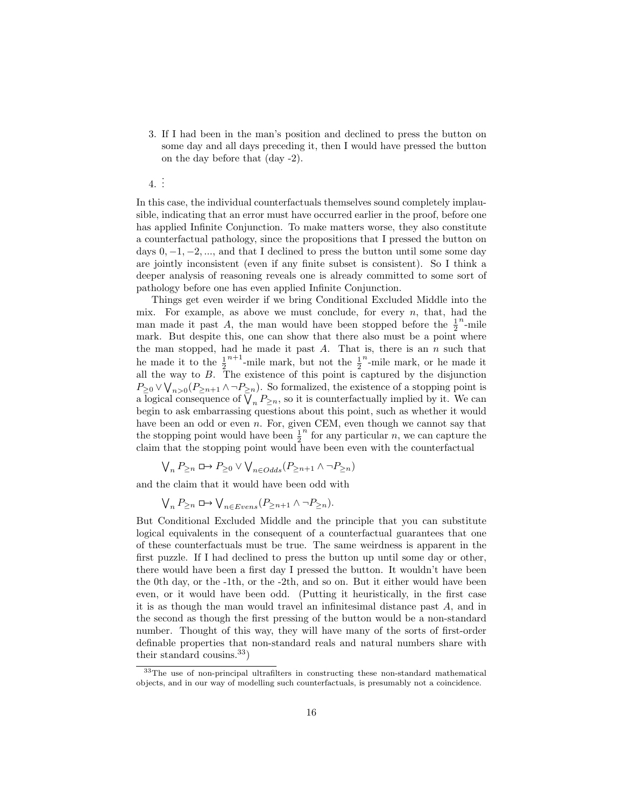3. If I had been in the man's position and declined to press the button on some day and all days preceding it, then I would have pressed the button on the day before that (day -2).

4. . . .

In this case, the individual counterfactuals themselves sound completely implausible, indicating that an error must have occurred earlier in the proof, before one has applied Infinite Conjunction. To make matters worse, they also constitute a counterfactual pathology, since the propositions that I pressed the button on days  $0, -1, -2, \ldots$ , and that I declined to press the button until some some day are jointly inconsistent (even if any finite subset is consistent). So I think a deeper analysis of reasoning reveals one is already committed to some sort of pathology before one has even applied Infinite Conjunction.

Things get even weirder if we bring Conditional Excluded Middle into the mix. For example, as above we must conclude, for every  $n$ , that, had the man made it past A, the man would have been stopped before the  $\frac{1}{2}$  $n_{\text{-mile}}$ mark. But despite this, one can show that there also must be a point where the man stopped, had he made it past  $A$ . That is, there is an  $n$  such that he made it to the  $\frac{1}{2}^{n+1}$ -mile mark, but not the  $\frac{1}{2}$  $n$ -mile mark, or he made it all the way to B. The existence of this point is captured by the disjunction  $P_{\geq 0} \vee \bigvee_{n>0} (P_{\geq n+1} \wedge \neg P_{\geq n}).$  So formalized, the existence of a stopping point is a logical consequence of  $\bigvee_n P_{\geq n}$ , so it is counterfactually implied by it. We can begin to ask embarrassing questions about this point, such as whether it would have been an odd or even n. For, given CEM, even though we cannot say that the stopping point would have been  $\frac{1}{2}$  $\overrightarrow{n}$  for any particular  $\overrightarrow{n}$ , we can capture the claim that the stopping point would have been even with the counterfactual

$$
\bigvee_n P_{\geq n} \sqcup \!\!\!\!\rightarrow P_{\geq 0} \vee \bigvee_{n \in Odds} (P_{\geq n+1} \wedge \neg P_{\geq n})
$$

and the claim that it would have been odd with

$$
\bigvee\nolimits_n P_{\geq n}\square\!\!\!\rightarrow \bigvee\nolimits_{n\in Evens}(P_{\geq n+1}\wedge\neg P_{\geq n}).
$$

But Conditional Excluded Middle and the principle that you can substitute logical equivalents in the consequent of a counterfactual guarantees that one of these counterfactuals must be true. The same weirdness is apparent in the first puzzle. If I had declined to press the button up until some day or other, there would have been a first day I pressed the button. It wouldn't have been the 0th day, or the -1th, or the -2th, and so on. But it either would have been even, or it would have been odd. (Putting it heuristically, in the first case it is as though the man would travel an infinitesimal distance past A, and in the second as though the first pressing of the button would be a non-standard number. Thought of this way, they will have many of the sorts of first-order definable properties that non-standard reals and natural numbers share with their standard cousins.<sup>33</sup>)

<sup>&</sup>lt;sup>33</sup>The use of non-principal ultrafilters in constructing these non-standard mathematical objects, and in our way of modelling such counterfactuals, is presumably not a coincidence.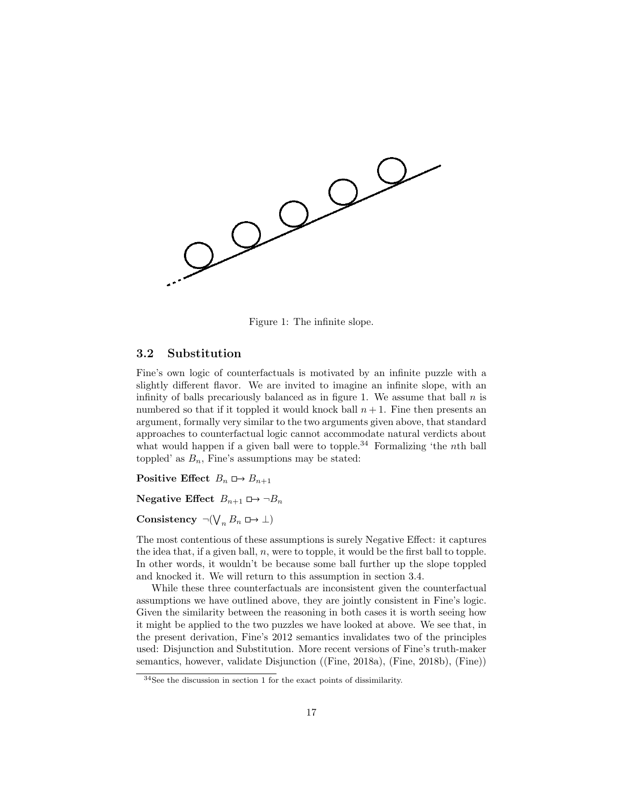

Figure 1: The infinite slope.

## 3.2 Substitution

Fine's own logic of counterfactuals is motivated by an infinite puzzle with a slightly different flavor. We are invited to imagine an infinite slope, with an infinity of balls precariously balanced as in figure 1. We assume that ball  $n$  is numbered so that if it toppled it would knock ball  $n + 1$ . Fine then presents an argument, formally very similar to the two arguments given above, that standard approaches to counterfactual logic cannot accommodate natural verdicts about what would happen if a given ball were to topple.<sup>34</sup> Formalizing 'the nth ball toppled' as  $B_n$ , Fine's assumptions may be stated:

Positive Effect  $B_n \rightharpoonup B_{n+1}$ 

Negative Effect  $B_{n+1} \square \rightarrow \neg B_n$ 

Consistency  $\neg(\bigvee_n B_n \Box \rightarrow \bot)$ 

The most contentious of these assumptions is surely Negative Effect: it captures the idea that, if a given ball, n, were to topple, it would be the first ball to topple. In other words, it wouldn't be because some ball further up the slope toppled and knocked it. We will return to this assumption in section 3.4.

While these three counterfactuals are inconsistent given the counterfactual assumptions we have outlined above, they are jointly consistent in Fine's logic. Given the similarity between the reasoning in both cases it is worth seeing how it might be applied to the two puzzles we have looked at above. We see that, in the present derivation, Fine's 2012 semantics invalidates two of the principles used: Disjunction and Substitution. More recent versions of Fine's truth-maker semantics, however, validate Disjunction ((Fine, 2018a), (Fine, 2018b), (Fine))

 $34$ See the discussion in section 1 for the exact points of dissimilarity.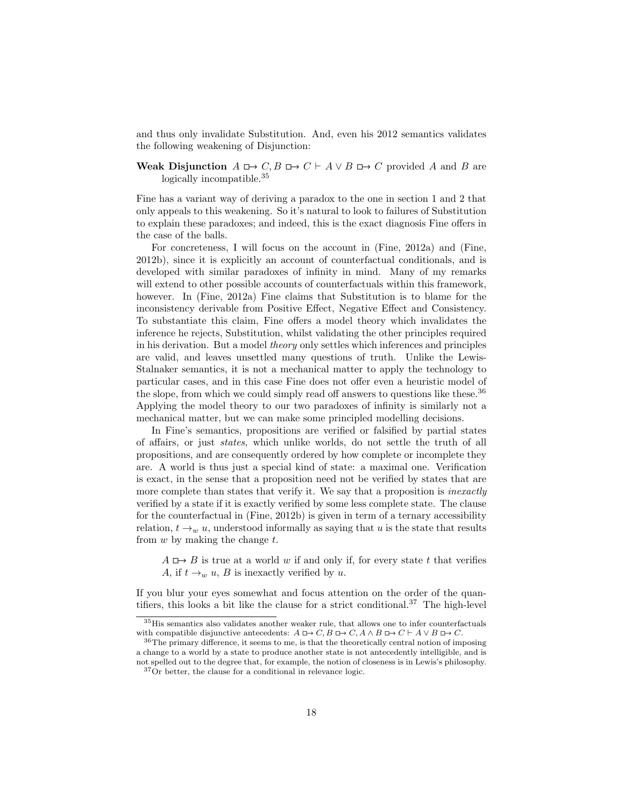and thus only invalidate Substitution. And, even his 2012 semantics validates the following weakening of Disjunction:

#### Weak Disjunction  $A \rightharpoonup C$ ,  $B \rightharpoonup C \vdash A \lor B \rightharpoonup C$  provided A and B are logically incompatible.<sup>35</sup>

Fine has a variant way of deriving a paradox to the one in section 1 and 2 that only appeals to this weakening. So it's natural to look to failures of Substitution to explain these paradoxes; and indeed, this is the exact diagnosis Fine offers in the case of the balls.

For concreteness, I will focus on the account in (Fine, 2012a) and (Fine, 2012b), since it is explicitly an account of counterfactual conditionals, and is developed with similar paradoxes of infinity in mind. Many of my remarks will extend to other possible accounts of counterfactuals within this framework, however. In (Fine, 2012a) Fine claims that Substitution is to blame for the inconsistency derivable from Positive Effect, Negative Effect and Consistency. To substantiate this claim, Fine offers a model theory which invalidates the inference he rejects, Substitution, whilst validating the other principles required in his derivation. But a model theory only settles which inferences and principles are valid, and leaves unsettled many questions of truth. Unlike the Lewis-Stalnaker semantics, it is not a mechanical matter to apply the technology to particular cases, and in this case Fine does not offer even a heuristic model of the slope, from which we could simply read off answers to questions like these.<sup>36</sup> Applying the model theory to our two paradoxes of infinity is similarly not a mechanical matter, but we can make some principled modelling decisions.

In Fine's semantics, propositions are verified or falsified by partial states of affairs, or just states, which unlike worlds, do not settle the truth of all propositions, and are consequently ordered by how complete or incomplete they are. A world is thus just a special kind of state: a maximal one. Verification is exact, in the sense that a proposition need not be verified by states that are more complete than states that verify it. We say that a proposition is *inexactly* verified by a state if it is exactly verified by some less complete state. The clause for the counterfactual in (Fine, 2012b) is given in term of a ternary accessibility relation,  $t \rightarrow_w u$ , understood informally as saying that u is the state that results from  $w$  by making the change  $t$ .

 $A \rightharpoonup B$  is true at a world w if and only if, for every state t that verifies A, if  $t \rightarrow_w u$ , B is inexactly verified by u.

If you blur your eyes somewhat and focus attention on the order of the quantifiers, this looks a bit like the clause for a strict conditional.<sup>37</sup> The high-level

<sup>35</sup>His semantics also validates another weaker rule, that allows one to infer counterfactuals with compatible disjunctive antecedents:  $A \Box \rightarrow C$ ,  $B \Box \rightarrow C$ ,  $A \land B \Box \rightarrow C \vdash A \lor B \Box \rightarrow C$ .

 $36$ The primary difference, it seems to me, is that the theoretically central notion of imposing a change to a world by a state to produce another state is not antecedently intelligible, and is not spelled out to the degree that, for example, the notion of closeness is in Lewis's philosophy.

 $37\,\mathrm{Or}$  better, the clause for a conditional in relevance logic.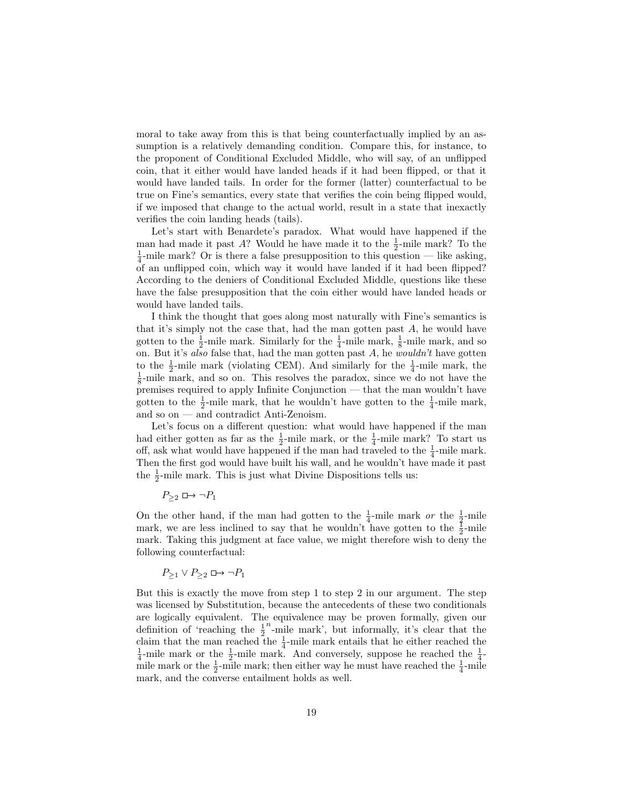moral to take away from this is that being counterfactually implied by an assumption is a relatively demanding condition. Compare this, for instance, to the proponent of Conditional Excluded Middle, who will say, of an unflipped coin, that it either would have landed heads if it had been flipped, or that it would have landed tails. In order for the former (latter) counterfactual to be true on Fine's semantics, every state that verifies the coin being flipped would, if we imposed that change to the actual world, result in a state that inexactly verifies the coin landing heads (tails).

Let's start with Benardete's paradox. What would have happened if the man had made it past A? Would he have made it to the  $\frac{1}{2}$ -mile mark? To the  $\frac{1}{4}$ -mile mark? Or is there a false presupposition to this question — like asking, of an unflipped coin, which way it would have landed if it had been flipped? According to the deniers of Conditional Excluded Middle, questions like these have the false presupposition that the coin either would have landed heads or would have landed tails.

I think the thought that goes along most naturally with Fine's semantics is that it's simply not the case that, had the man gotten past A, he would have gotten to the  $\frac{1}{2}$ -mile mark. Similarly for the  $\frac{1}{4}$ -mile mark,  $\frac{1}{8}$ -mile mark, and so on. But it's also false that, had the man gotten past  $A$ , he wouldn't have gotten to the  $\frac{1}{2}$ -mile mark (violating CEM). And similarly for the  $\frac{1}{4}$ -mile mark, the  $\frac{1}{8}$ -mile mark, and so on. This resolves the paradox, since we do not have the premises required to apply Infinite Conjunction — that the man wouldn't have gotten to the  $\frac{1}{2}$ -mile mark, that he wouldn't have gotten to the  $\frac{1}{4}$ -mile mark, and so on — and contradict Anti-Zenoism.

Let's focus on a different question: what would have happened if the man had either gotten as far as the  $\frac{1}{2}$ -mile mark, or the  $\frac{1}{4}$ -mile mark? To start us off, ask what would have happened if the man had traveled to the  $\frac{1}{4}$ -mile mark. Then the first god would have built his wall, and he wouldn't have made it past the  $\frac{1}{2}$ -mile mark. This is just what Divine Dispositions tells us:

$$
P_{\geq 2} \sqcup \rightarrow \neg P_1
$$

On the other hand, if the man had gotten to the  $\frac{1}{4}$ -mile mark or the  $\frac{1}{2}$ -mile mark, we are less inclined to say that he wouldn't have gotten to the  $\frac{1}{2}$ -mile mark. Taking this judgment at face value, we might therefore wish to deny the following counterfactual:

$$
P_{\geq 1} \vee P_{\geq 2} \square \rightarrow \neg P_1
$$

But this is exactly the move from step 1 to step 2 in our argument. The step was licensed by Substitution, because the antecedents of these two conditionals are logically equivalent. The equivalence may be proven formally, given our definition of 'reaching the  $\frac{1}{2}$  $n_{\text{m}}$ -mile mark', but informally, it's clear that the claim that the man reached the  $\frac{1}{4}$ -mile mark entails that he either reached the  $\frac{1}{4}$ -mile mark or the  $\frac{1}{2}$ -mile mark. And conversely, suppose he reached the  $\frac{1}{4}$ mile mark or the  $\frac{1}{2}$ -mile mark; then either way he must have reached the  $\frac{1}{4}$ -mile mark, and the converse entailment holds as well.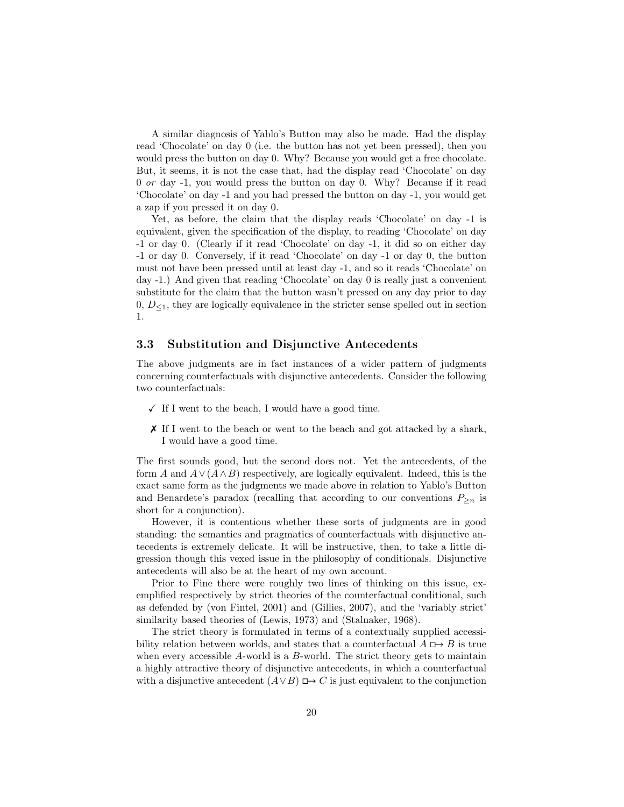A similar diagnosis of Yablo's Button may also be made. Had the display read 'Chocolate' on day 0 (i.e. the button has not yet been pressed), then you would press the button on day 0. Why? Because you would get a free chocolate. But, it seems, it is not the case that, had the display read 'Chocolate' on day 0 or day -1, you would press the button on day 0. Why? Because if it read 'Chocolate' on day -1 and you had pressed the button on day -1, you would get a zap if you pressed it on day 0.

Yet, as before, the claim that the display reads 'Chocolate' on day -1 is equivalent, given the specification of the display, to reading 'Chocolate' on day -1 or day 0. (Clearly if it read 'Chocolate' on day -1, it did so on either day -1 or day 0. Conversely, if it read 'Chocolate' on day -1 or day 0, the button must not have been pressed until at least day -1, and so it reads 'Chocolate' on day -1.) And given that reading 'Chocolate' on day 0 is really just a convenient substitute for the claim that the button wasn't pressed on any day prior to day  $0, D_{\leq 1}$ , they are logically equivalence in the stricter sense spelled out in section 1.

### 3.3 Substitution and Disjunctive Antecedents

The above judgments are in fact instances of a wider pattern of judgments concerning counterfactuals with disjunctive antecedents. Consider the following two counterfactuals:

- $\checkmark$  If I went to the beach, I would have a good time.
- ✗ If I went to the beach or went to the beach and got attacked by a shark, I would have a good time.

The first sounds good, but the second does not. Yet the antecedents, of the form A and  $A \vee (A \wedge B)$  respectively, are logically equivalent. Indeed, this is the exact same form as the judgments we made above in relation to Yablo's Button and Benardete's paradox (recalling that according to our conventions  $P_{\geq n}$  is short for a conjunction).

However, it is contentious whether these sorts of judgments are in good standing: the semantics and pragmatics of counterfactuals with disjunctive antecedents is extremely delicate. It will be instructive, then, to take a little digression though this vexed issue in the philosophy of conditionals. Disjunctive antecedents will also be at the heart of my own account.

Prior to Fine there were roughly two lines of thinking on this issue, exemplified respectively by strict theories of the counterfactual conditional, such as defended by (von Fintel, 2001) and (Gillies, 2007), and the 'variably strict' similarity based theories of (Lewis, 1973) and (Stalnaker, 1968).

The strict theory is formulated in terms of a contextually supplied accessibility relation between worlds, and states that a counterfactual  $A \rightharpoonup B$  is true when every accessible A-world is a B-world. The strict theory gets to maintain a highly attractive theory of disjunctive antecedents, in which a counterfactual with a disjunctive antecedent  $(A \vee B) \square \rightarrow C$  is just equivalent to the conjunction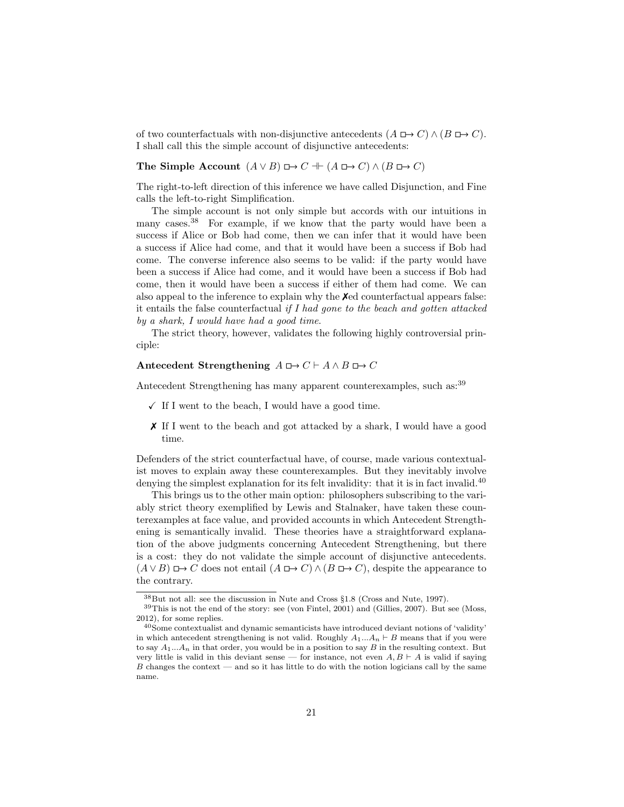of two counterfactuals with non-disjunctive antecedents  $(A \Box \rightarrow C) \land (B \Box \rightarrow C)$ . I shall call this the simple account of disjunctive antecedents:

#### The Simple Account  $(A \vee B) \square \rightarrow C + (A \square \rightarrow C) \wedge (B \square \rightarrow C)$

The right-to-left direction of this inference we have called Disjunction, and Fine calls the left-to-right Simplification.

The simple account is not only simple but accords with our intuitions in many cases.<sup>38</sup> For example, if we know that the party would have been a success if Alice or Bob had come, then we can infer that it would have been a success if Alice had come, and that it would have been a success if Bob had come. The converse inference also seems to be valid: if the party would have been a success if Alice had come, and it would have been a success if Bob had come, then it would have been a success if either of them had come. We can also appeal to the inference to explain why the  $\chi$ ed counterfactual appears false: it entails the false counterfactual if I had gone to the beach and gotten attacked by a shark, I would have had a good time.

The strict theory, however, validates the following highly controversial principle:

#### Antecedent Strengthening  $A \Box \rightarrow C \vdash A \land B \Box \rightarrow C$

Antecedent Strengthening has many apparent counterexamples, such as:<sup>39</sup>

- $\checkmark$  If I went to the beach, I would have a good time.
- ✗ If I went to the beach and got attacked by a shark, I would have a good time.

Defenders of the strict counterfactual have, of course, made various contextualist moves to explain away these counterexamples. But they inevitably involve denying the simplest explanation for its felt invalidity: that it is in fact invalid.<sup>40</sup>

This brings us to the other main option: philosophers subscribing to the variably strict theory exemplified by Lewis and Stalnaker, have taken these counterexamples at face value, and provided accounts in which Antecedent Strengthening is semantically invalid. These theories have a straightforward explanation of the above judgments concerning Antecedent Strengthening, but there is a cost: they do not validate the simple account of disjunctive antecedents.  $(A \vee B) \mapsto C$  does not entail  $(A \mapsto C) \wedge (B \mapsto C)$ , despite the appearance to the contrary.

<sup>38</sup>But not all: see the discussion in Nute and Cross §1.8 (Cross and Nute, 1997).

 $39$ This is not the end of the story: see (von Fintel, 2001) and (Gillies, 2007). But see (Moss, 2012), for some replies.

 $40$  Some contextualist and dynamic semanticists have introduced deviant notions of 'validity' in which antecedent strengthening is not valid. Roughly  $A_1...A_n \vdash B$  means that if you were to say  $A_1...A_n$  in that order, you would be in a position to say B in the resulting context. But very little is valid in this deviant sense — for instance, not even  $A, B \vdash A$  is valid if saying  $B$  changes the context — and so it has little to do with the notion logicians call by the same name.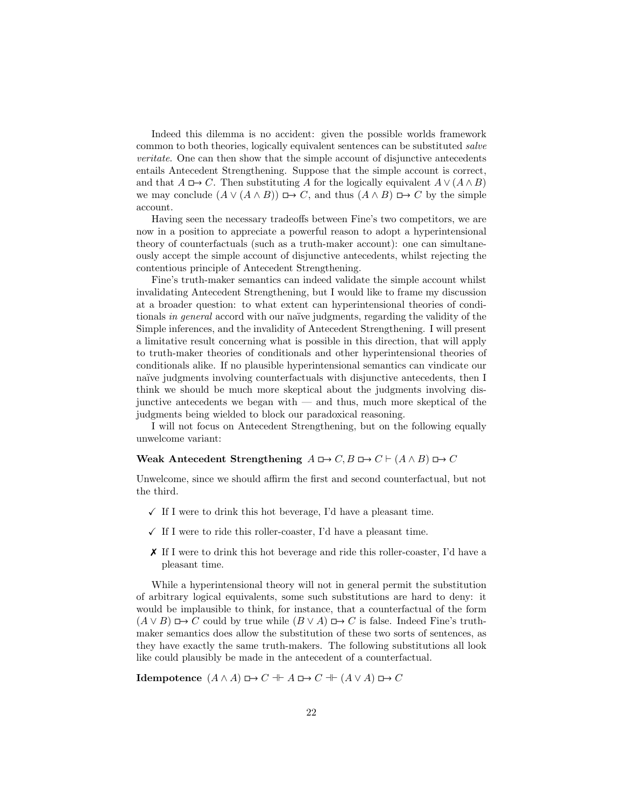Indeed this dilemma is no accident: given the possible worlds framework common to both theories, logically equivalent sentences can be substituted salve veritate. One can then show that the simple account of disjunctive antecedents entails Antecedent Strengthening. Suppose that the simple account is correct, and that  $A \Box \rightarrow C$ . Then substituting A for the logically equivalent  $A \vee (A \wedge B)$ we may conclude  $(A \vee (A \wedge B)) \square \rightarrow C$ , and thus  $(A \wedge B) \square \rightarrow C$  by the simple account.

Having seen the necessary tradeoffs between Fine's two competitors, we are now in a position to appreciate a powerful reason to adopt a hyperintensional theory of counterfactuals (such as a truth-maker account): one can simultaneously accept the simple account of disjunctive antecedents, whilst rejecting the contentious principle of Antecedent Strengthening.

Fine's truth-maker semantics can indeed validate the simple account whilst invalidating Antecedent Strengthening, but I would like to frame my discussion at a broader question: to what extent can hyperintensional theories of conditionals in general accord with our naïve judgments, regarding the validity of the Simple inferences, and the invalidity of Antecedent Strengthening. I will present a limitative result concerning what is possible in this direction, that will apply to truth-maker theories of conditionals and other hyperintensional theories of conditionals alike. If no plausible hyperintensional semantics can vindicate our naïve judgments involving counterfactuals with disjunctive antecedents, then I think we should be much more skeptical about the judgments involving disjunctive antecedents we began with  $-$  and thus, much more skeptical of the judgments being wielded to block our paradoxical reasoning.

I will not focus on Antecedent Strengthening, but on the following equally unwelcome variant:

#### Weak Antecedent Strengthening  $A \Box \rightarrow C$ ,  $B \Box \rightarrow C \vdash (A \land B) \Box \rightarrow C$

Unwelcome, since we should affirm the first and second counterfactual, but not the third.

- $\checkmark$  If I were to drink this hot beverage, I'd have a pleasant time.
- $\checkmark$  If I were to ride this roller-coaster, I'd have a pleasant time.
- ✗ If I were to drink this hot beverage and ride this roller-coaster, I'd have a pleasant time.

While a hyperintensional theory will not in general permit the substitution of arbitrary logical equivalents, some such substitutions are hard to deny: it would be implausible to think, for instance, that a counterfactual of the form  $(A \vee B) \mapsto C$  could by true while  $(B \vee A) \mapsto C$  is false. Indeed Fine's truthmaker semantics does allow the substitution of these two sorts of sentences, as they have exactly the same truth-makers. The following substitutions all look like could plausibly be made in the antecedent of a counterfactual.

**Idempotence**  $(A \land A) \Box \rightarrow C + A \Box \rightarrow C + (A \lor A) \Box \rightarrow C$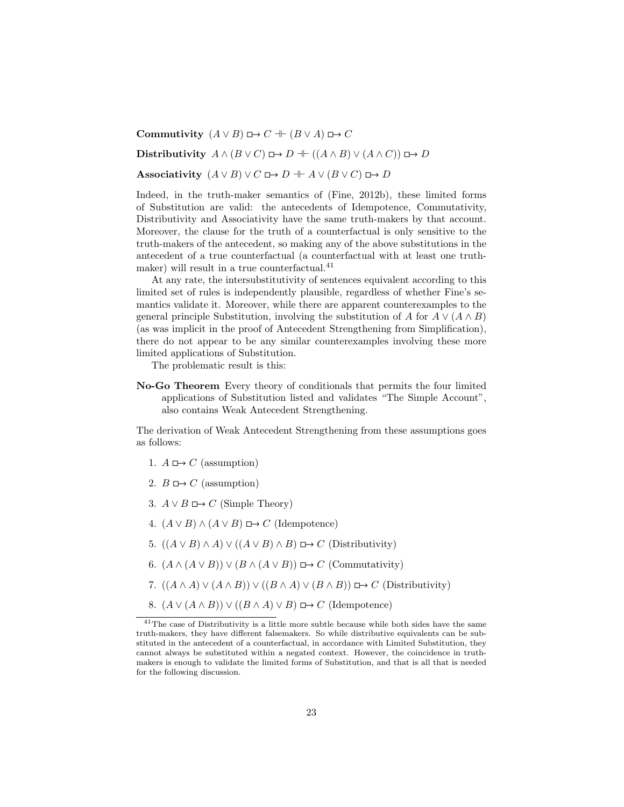Commutivity  $(A \lor B) \Box \rightarrow C \parallel (B \lor A) \Box \rightarrow C$ 

Distributivity  $A \wedge (B \vee C) \square \rightarrow D + ((A \wedge B) \vee (A \wedge C)) \square \rightarrow D$ 

Associativity  $(A \lor B) \lor C \Box \rightarrow D + A \lor (B \lor C) \Box \rightarrow D$ 

Indeed, in the truth-maker semantics of (Fine, 2012b), these limited forms of Substitution are valid: the antecedents of Idempotence, Commutativity, Distributivity and Associativity have the same truth-makers by that account. Moreover, the clause for the truth of a counterfactual is only sensitive to the truth-makers of the antecedent, so making any of the above substitutions in the antecedent of a true counterfactual (a counterfactual with at least one truthmaker) will result in a true counterfactual.<sup>41</sup>

At any rate, the intersubstitutivity of sentences equivalent according to this limited set of rules is independently plausible, regardless of whether Fine's semantics validate it. Moreover, while there are apparent counterexamples to the general principle Substitution, involving the substitution of A for  $A \vee (A \wedge B)$ (as was implicit in the proof of Antecedent Strengthening from Simplification), there do not appear to be any similar counterexamples involving these more limited applications of Substitution.

The problematic result is this:

No-Go Theorem Every theory of conditionals that permits the four limited applications of Substitution listed and validates "The Simple Account", also contains Weak Antecedent Strengthening.

The derivation of Weak Antecedent Strengthening from these assumptions goes as follows:

- 1.  $A \mapsto C$  (assumption)
- 2.  $B \mapsto C$  (assumption)
- 3.  $A \lor B \nightharpoonup C$  (Simple Theory)
- 4.  $(A \vee B) \wedge (A \vee B) \mapsto C$  (Idempotence)
- 5.  $((A \vee B) \wedge A) \vee ((A \vee B) \wedge B) \square \rightarrow C$  (Distributivity)
- 6.  $(A \wedge (A \vee B)) \vee (B \wedge (A \vee B)) \rightarrow C$  (Commutativity)
- 7.  $((A \wedge A) \vee (A \wedge B)) \vee ((B \wedge A) \vee (B \wedge B)) \rightarrow C$  (Distributivity)
- 8.  $(A \vee (A \wedge B)) \vee ((B \wedge A) \vee B) \longrightarrow C$  (Idempotence)

<sup>41</sup>The case of Distributivity is a little more subtle because while both sides have the same truth-makers, they have different falsemakers. So while distributive equivalents can be substituted in the antecedent of a counterfactual, in accordance with Limited Substitution, they cannot always be substituted within a negated context. However, the coincidence in truthmakers is enough to validate the limited forms of Substitution, and that is all that is needed for the following discussion.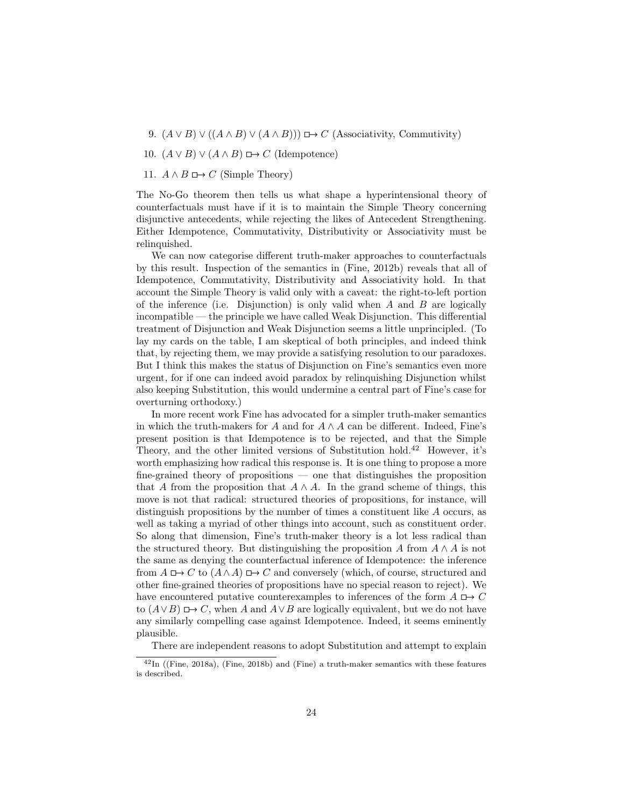- 9.  $(A \vee B) \vee ((A \wedge B) \vee (A \wedge B))) \rightarrow C$  (Associativity, Commutivity)
- 10.  $(A \vee B) \vee (A \wedge B) \longrightarrow C$  (Idempotence)
- 11.  $A \wedge B \longrightarrow C$  (Simple Theory)

The No-Go theorem then tells us what shape a hyperintensional theory of counterfactuals must have if it is to maintain the Simple Theory concerning disjunctive antecedents, while rejecting the likes of Antecedent Strengthening. Either Idempotence, Commutativity, Distributivity or Associativity must be relinquished.

We can now categorise different truth-maker approaches to counterfactuals by this result. Inspection of the semantics in (Fine, 2012b) reveals that all of Idempotence, Commutativity, Distributivity and Associativity hold. In that account the Simple Theory is valid only with a caveat: the right-to-left portion of the inference (i.e. Disjunction) is only valid when  $A$  and  $B$  are logically incompatible — the principle we have called Weak Disjunction. This differential treatment of Disjunction and Weak Disjunction seems a little unprincipled. (To lay my cards on the table, I am skeptical of both principles, and indeed think that, by rejecting them, we may provide a satisfying resolution to our paradoxes. But I think this makes the status of Disjunction on Fine's semantics even more urgent, for if one can indeed avoid paradox by relinquishing Disjunction whilst also keeping Substitution, this would undermine a central part of Fine's case for overturning orthodoxy.)

In more recent work Fine has advocated for a simpler truth-maker semantics in which the truth-makers for A and for  $A \wedge A$  can be different. Indeed, Fine's present position is that Idempotence is to be rejected, and that the Simple Theory, and the other limited versions of Substitution hold.<sup>42</sup> However, it's worth emphasizing how radical this response is. It is one thing to propose a more fine-grained theory of propositions — one that distinguishes the proposition that A from the proposition that  $A \wedge A$ . In the grand scheme of things, this move is not that radical: structured theories of propositions, for instance, will distinguish propositions by the number of times a constituent like A occurs, as well as taking a myriad of other things into account, such as constituent order. So along that dimension, Fine's truth-maker theory is a lot less radical than the structured theory. But distinguishing the proposition A from  $A \wedge A$  is not the same as denying the counterfactual inference of Idempotence: the inference from  $A \rightharpoonup C$  to  $(A \wedge A) \rightharpoonup C$  and conversely (which, of course, structured and other fine-grained theories of propositions have no special reason to reject). We have encountered putative counterexamples to inferences of the form  $A \square \rightarrow C$ to  $(A \vee B) \square$   $\rightarrow$  C, when A and  $A \vee B$  are logically equivalent, but we do not have any similarly compelling case against Idempotence. Indeed, it seems eminently plausible.

There are independent reasons to adopt Substitution and attempt to explain

<sup>42</sup>In ((Fine, 2018a), (Fine, 2018b) and (Fine) a truth-maker semantics with these features is described.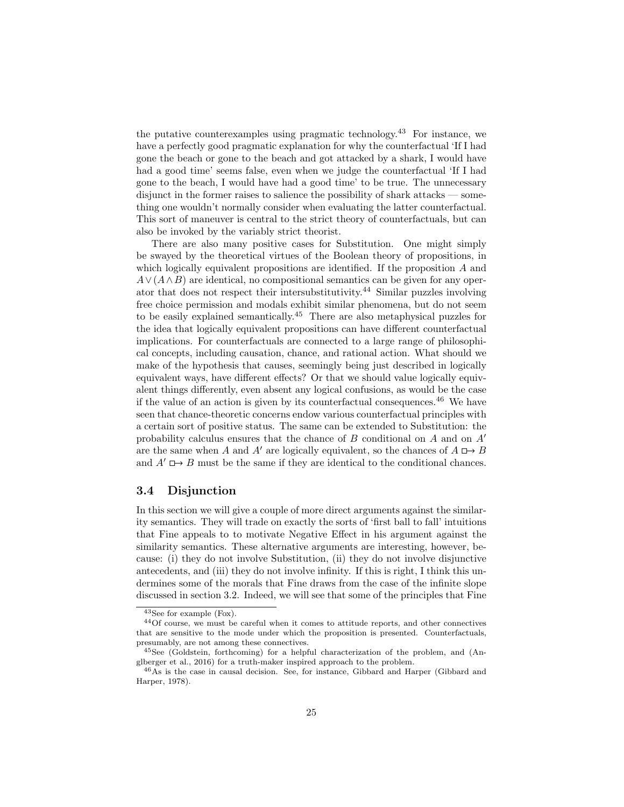the putative counterexamples using pragmatic technology.<sup>43</sup> For instance, we have a perfectly good pragmatic explanation for why the counterfactual 'If I had gone the beach or gone to the beach and got attacked by a shark, I would have had a good time' seems false, even when we judge the counterfactual 'If I had gone to the beach, I would have had a good time' to be true. The unnecessary disjunct in the former raises to salience the possibility of shark attacks — something one wouldn't normally consider when evaluating the latter counterfactual. This sort of maneuver is central to the strict theory of counterfactuals, but can also be invoked by the variably strict theorist.

There are also many positive cases for Substitution. One might simply be swayed by the theoretical virtues of the Boolean theory of propositions, in which logically equivalent propositions are identified. If the proposition A and  $A \vee (A \wedge B)$  are identical, no compositional semantics can be given for any operator that does not respect their intersubstitutivity.<sup>44</sup> Similar puzzles involving free choice permission and modals exhibit similar phenomena, but do not seem to be easily explained semantically.<sup>45</sup> There are also metaphysical puzzles for the idea that logically equivalent propositions can have different counterfactual implications. For counterfactuals are connected to a large range of philosophical concepts, including causation, chance, and rational action. What should we make of the hypothesis that causes, seemingly being just described in logically equivalent ways, have different effects? Or that we should value logically equivalent things differently, even absent any logical confusions, as would be the case if the value of an action is given by its counterfactual consequences.<sup>46</sup> We have seen that chance-theoretic concerns endow various counterfactual principles with a certain sort of positive status. The same can be extended to Substitution: the probability calculus ensures that the chance of B conditional on A and on  $A'$ are the same when A and A' are logically equivalent, so the chances of  $A \rightharpoonup B$ and  $A' \rightharpoonup B$  must be the same if they are identical to the conditional chances.

### 3.4 Disjunction

In this section we will give a couple of more direct arguments against the similarity semantics. They will trade on exactly the sorts of 'first ball to fall' intuitions that Fine appeals to to motivate Negative Effect in his argument against the similarity semantics. These alternative arguments are interesting, however, because: (i) they do not involve Substitution, (ii) they do not involve disjunctive antecedents, and (iii) they do not involve infinity. If this is right, I think this undermines some of the morals that Fine draws from the case of the infinite slope discussed in section 3.2. Indeed, we will see that some of the principles that Fine

<sup>43</sup>See for example (Fox).

<sup>44</sup>Of course, we must be careful when it comes to attitude reports, and other connectives that are sensitive to the mode under which the proposition is presented. Counterfactuals, presumably, are not among these connectives.

<sup>45</sup>See (Goldstein, forthcoming) for a helpful characterization of the problem, and (Anglberger et al., 2016) for a truth-maker inspired approach to the problem.

<sup>46</sup>As is the case in causal decision. See, for instance, Gibbard and Harper (Gibbard and Harper, 1978).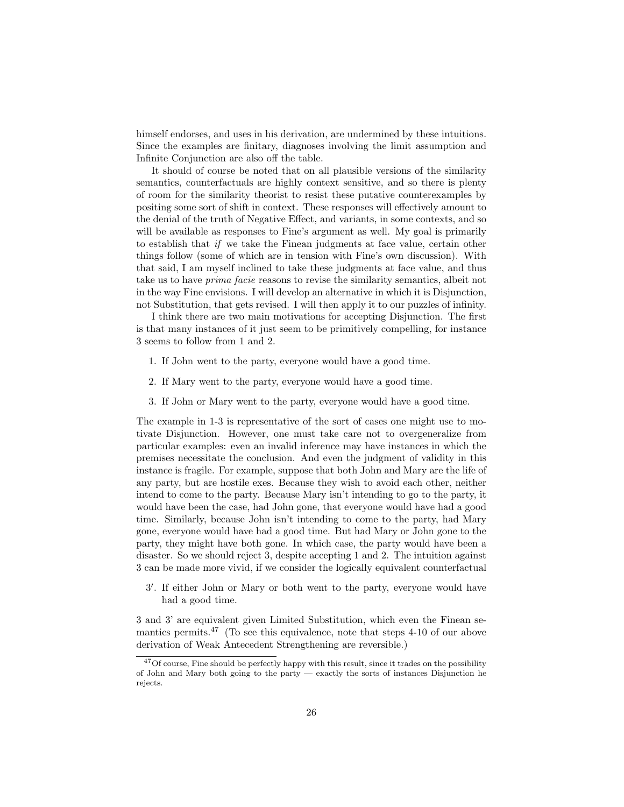himself endorses, and uses in his derivation, are undermined by these intuitions. Since the examples are finitary, diagnoses involving the limit assumption and Infinite Conjunction are also off the table.

It should of course be noted that on all plausible versions of the similarity semantics, counterfactuals are highly context sensitive, and so there is plenty of room for the similarity theorist to resist these putative counterexamples by positing some sort of shift in context. These responses will effectively amount to the denial of the truth of Negative Effect, and variants, in some contexts, and so will be available as responses to Fine's argument as well. My goal is primarily to establish that if we take the Finean judgments at face value, certain other things follow (some of which are in tension with Fine's own discussion). With that said, I am myself inclined to take these judgments at face value, and thus take us to have prima facie reasons to revise the similarity semantics, albeit not in the way Fine envisions. I will develop an alternative in which it is Disjunction, not Substitution, that gets revised. I will then apply it to our puzzles of infinity.

I think there are two main motivations for accepting Disjunction. The first is that many instances of it just seem to be primitively compelling, for instance 3 seems to follow from 1 and 2.

- 1. If John went to the party, everyone would have a good time.
- 2. If Mary went to the party, everyone would have a good time.
- 3. If John or Mary went to the party, everyone would have a good time.

The example in 1-3 is representative of the sort of cases one might use to motivate Disjunction. However, one must take care not to overgeneralize from particular examples: even an invalid inference may have instances in which the premises necessitate the conclusion. And even the judgment of validity in this instance is fragile. For example, suppose that both John and Mary are the life of any party, but are hostile exes. Because they wish to avoid each other, neither intend to come to the party. Because Mary isn't intending to go to the party, it would have been the case, had John gone, that everyone would have had a good time. Similarly, because John isn't intending to come to the party, had Mary gone, everyone would have had a good time. But had Mary or John gone to the party, they might have both gone. In which case, the party would have been a disaster. So we should reject 3, despite accepting 1 and 2. The intuition against 3 can be made more vivid, if we consider the logically equivalent counterfactual

3 0 . If either John or Mary or both went to the party, everyone would have had a good time.

3 and 3' are equivalent given Limited Substitution, which even the Finean semantics permits.<sup>47</sup> (To see this equivalence, note that steps 4-10 of our above derivation of Weak Antecedent Strengthening are reversible.)

 $^{47}\mathrm{Of}$  course, Fine should be perfectly happy with this result, since it trades on the possibility of John and Mary both going to the party — exactly the sorts of instances Disjunction he rejects.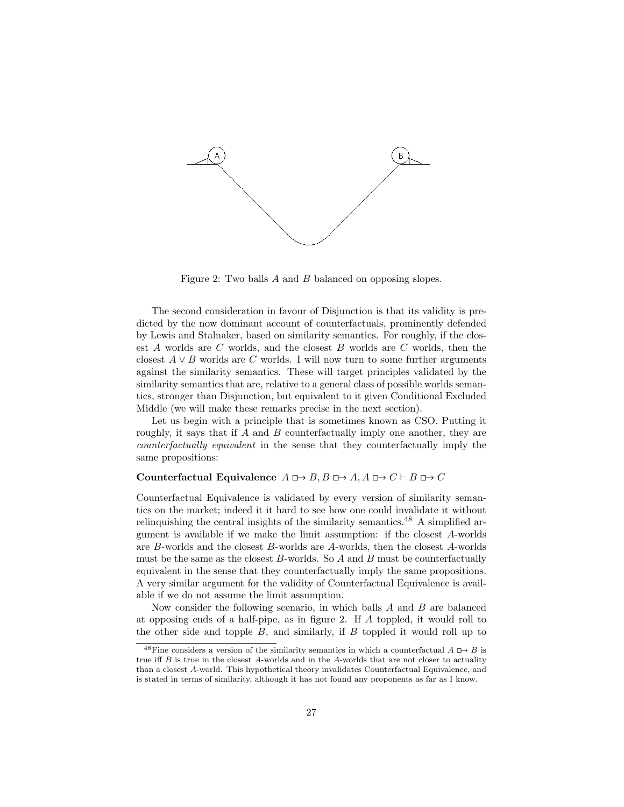

Figure 2: Two balls A and B balanced on opposing slopes.

The second consideration in favour of Disjunction is that its validity is predicted by the now dominant account of counterfactuals, prominently defended by Lewis and Stalnaker, based on similarity semantics. For roughly, if the closest  $A$  worlds are  $C$  worlds, and the closest  $B$  worlds are  $C$  worlds, then the closest  $A \vee B$  worlds are C worlds. I will now turn to some further arguments against the similarity semantics. These will target principles validated by the similarity semantics that are, relative to a general class of possible worlds semantics, stronger than Disjunction, but equivalent to it given Conditional Excluded Middle (we will make these remarks precise in the next section).

Let us begin with a principle that is sometimes known as CSO. Putting it roughly, it says that if  $A$  and  $B$  counterfactually imply one another, they are counterfactually equivalent in the sense that they counterfactually imply the same propositions:

#### Counterfactual Equivalence  $A \rightharpoonup B$ ,  $B \rightharpoonup A$ ,  $A \rightharpoonup C \rightharpoonup B \rightharpoonup C$

Counterfactual Equivalence is validated by every version of similarity semantics on the market; indeed it it hard to see how one could invalidate it without relinquishing the central insights of the similarity semantics.<sup>48</sup> A simplified argument is available if we make the limit assumption: if the closest A-worlds are B-worlds and the closest B-worlds are A-worlds, then the closest A-worlds must be the same as the closest  $B$ -worlds. So  $A$  and  $B$  must be counterfactually equivalent in the sense that they counterfactually imply the same propositions. A very similar argument for the validity of Counterfactual Equivalence is available if we do not assume the limit assumption.

Now consider the following scenario, in which balls  $A$  and  $B$  are balanced at opposing ends of a half-pipe, as in figure 2. If A toppled, it would roll to the other side and topple  $B$ , and similarly, if  $B$  toppled it would roll up to

 $48$ Fine considers a version of the similarity semantics in which a counterfactual  $A \rightharpoonup B$  is true iff  $B$  is true in the closest  $A$ -worlds and in the  $A$ -worlds that are not closer to actuality than a closest A-world. This hypothetical theory invalidates Counterfactual Equivalence, and is stated in terms of similarity, although it has not found any proponents as far as I know.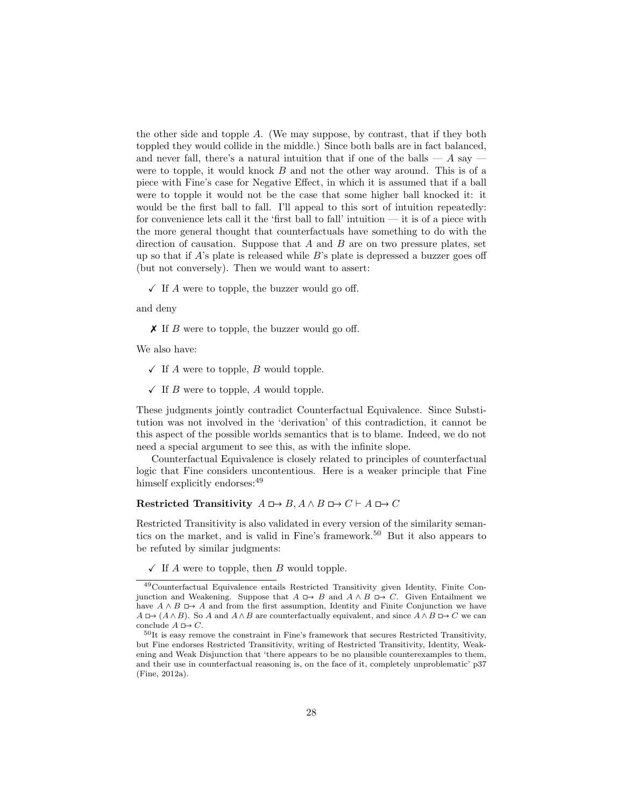the other side and topple A. (We may suppose, by contrast, that if they both toppled they would collide in the middle.) Since both balls are in fact balanced, and never fall, there's a natural intuition that if one of the balls —  $A$  say were to topple, it would knock B and not the other way around. This is of a piece with Fine's case for Negative Effect, in which it is assumed that if a ball were to topple it would not be the case that some higher ball knocked it: it would be the first ball to fall. I'll appeal to this sort of intuition repeatedly: for convenience lets call it the 'first ball to fall' intuition  $-$  it is of a piece with the more general thought that counterfactuals have something to do with the direction of causation. Suppose that  $A$  and  $B$  are on two pressure plates, set up so that if  $A$ 's plate is released while  $B$ 's plate is depressed a buzzer goes off (but not conversely). Then we would want to assert:

 $\checkmark$  If A were to topple, the buzzer would go off.

and deny

 $\boldsymbol{\times}$  If B were to topple, the buzzer would go off.

We also have:

- $\checkmark$  If A were to topple, B would topple.
- $\checkmark$  If B were to topple, A would topple.

These judgments jointly contradict Counterfactual Equivalence. Since Substitution was not involved in the 'derivation' of this contradiction, it cannot be this aspect of the possible worlds semantics that is to blame. Indeed, we do not need a special argument to see this, as with the infinite slope.

Counterfactual Equivalence is closely related to principles of counterfactual logic that Fine considers uncontentious. Here is a weaker principle that Fine himself explicitly endorses:  $49$ 

### Restricted Transitivity  $A \Box B \Box A \land B \Box C \vdash A \Box C$

Restricted Transitivity is also validated in every version of the similarity semantics on the market, and is valid in Fine's framework.<sup>50</sup> But it also appears to be refuted by similar judgments:

 $\checkmark$  If A were to topple, then B would topple.

<sup>49</sup>Counterfactual Equivalence entails Restricted Transitivity given Identity, Finite Conjunction and Weakening. Suppose that  $A \Box B \rightarrow B$  and  $A \land B \Box D \rightarrow C$ . Given Entailment we have  $A \wedge B \mapsto A$  and from the first assumption, Identity and Finite Conjunction we have  $A \Box \rightarrow (A \land B)$ . So A and  $A \land B$  are counterfactually equivalent, and since  $A \land B \Box \rightarrow C$  we can conclude  $A \mapsto C$ .

 $50$ It is easy remove the constraint in Fine's framework that secures Restricted Transitivity, but Fine endorses Restricted Transitivity, writing of Restricted Transitivity, Identity, Weakening and Weak Disjunction that 'there appears to be no plausible counterexamples to them, and their use in counterfactual reasoning is, on the face of it, completely unproblematic' p37 (Fine, 2012a).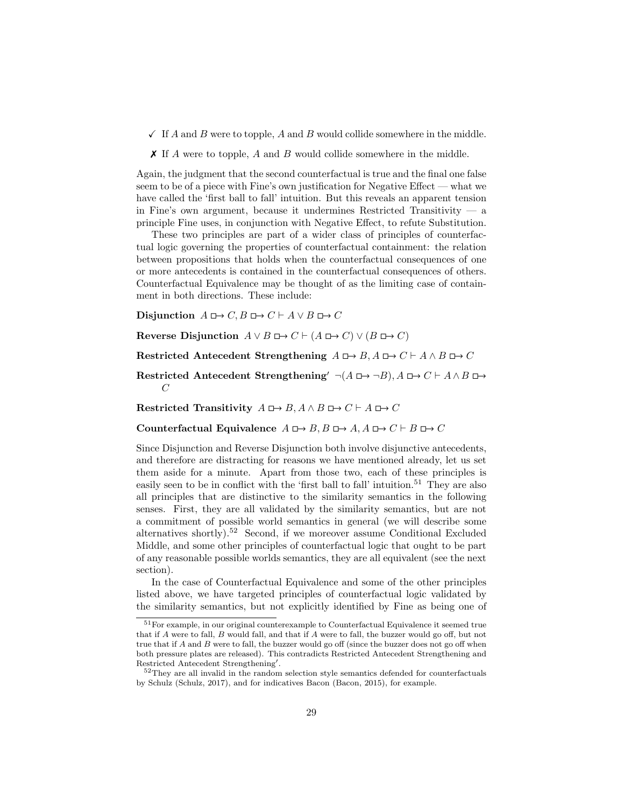$\checkmark$  If A and B were to topple, A and B would collide somewhere in the middle.

 $\chi$  If A were to topple, A and B would collide somewhere in the middle.

Again, the judgment that the second counterfactual is true and the final one false seem to be of a piece with Fine's own justification for Negative Effect — what we have called the 'first ball to fall' intuition. But this reveals an apparent tension in Fine's own argument, because it undermines Restricted Transitivity — a principle Fine uses, in conjunction with Negative Effect, to refute Substitution.

These two principles are part of a wider class of principles of counterfactual logic governing the properties of counterfactual containment: the relation between propositions that holds when the counterfactual consequences of one or more antecedents is contained in the counterfactual consequences of others. Counterfactual Equivalence may be thought of as the limiting case of containment in both directions. These include:

Disjunction  $A \Box \rightarrow C$ ,  $B \Box \rightarrow C \vdash A \lor B \Box \rightarrow C$ 

Reverse Disjunction  $A \lor B \Box \rightarrow C \vdash (A \Box \rightarrow C) \lor (B \Box \rightarrow C)$ 

Restricted Antecedent Strengthening  $A \Box B$ ,  $A \Box B \Box C \vdash A \land B \Box C$ 

Restricted Antecedent Strengthening'  $\neg(A \Box \rightarrow \neg B), A \Box \rightarrow C \vdash A \land B \Box \rightarrow$  $\mathcal{C}$ 

Restricted Transitivity  $A \Box B \Box A \land B \Box C \vdash A \Box C$ 

Counterfactual Equivalence  $A \rightharpoonup B$ ,  $B \rightharpoonup A$ ,  $A \rightharpoonup C \rightharpoonup B \rightharpoonup C$ 

Since Disjunction and Reverse Disjunction both involve disjunctive antecedents, and therefore are distracting for reasons we have mentioned already, let us set them aside for a minute. Apart from those two, each of these principles is easily seen to be in conflict with the 'first ball to fall' intuition.<sup>51</sup> They are also all principles that are distinctive to the similarity semantics in the following senses. First, they are all validated by the similarity semantics, but are not a commitment of possible world semantics in general (we will describe some alternatives shortly).<sup>52</sup> Second, if we moreover assume Conditional Excluded Middle, and some other principles of counterfactual logic that ought to be part of any reasonable possible worlds semantics, they are all equivalent (see the next section).

In the case of Counterfactual Equivalence and some of the other principles listed above, we have targeted principles of counterfactual logic validated by the similarity semantics, but not explicitly identified by Fine as being one of

<sup>&</sup>lt;sup>51</sup>For example, in our original counterexample to Counterfactual Equivalence it seemed true that if A were to fall, B would fall, and that if A were to fall, the buzzer would go off, but not true that if A and B were to fall, the buzzer would go off (since the buzzer does not go off when both pressure plates are released). This contradicts Restricted Antecedent Strengthening and Restricted Antecedent Strengthening'.

<sup>&</sup>lt;sup>52</sup>They are all invalid in the random selection style semantics defended for counterfactuals by Schulz (Schulz, 2017), and for indicatives Bacon (Bacon, 2015), for example.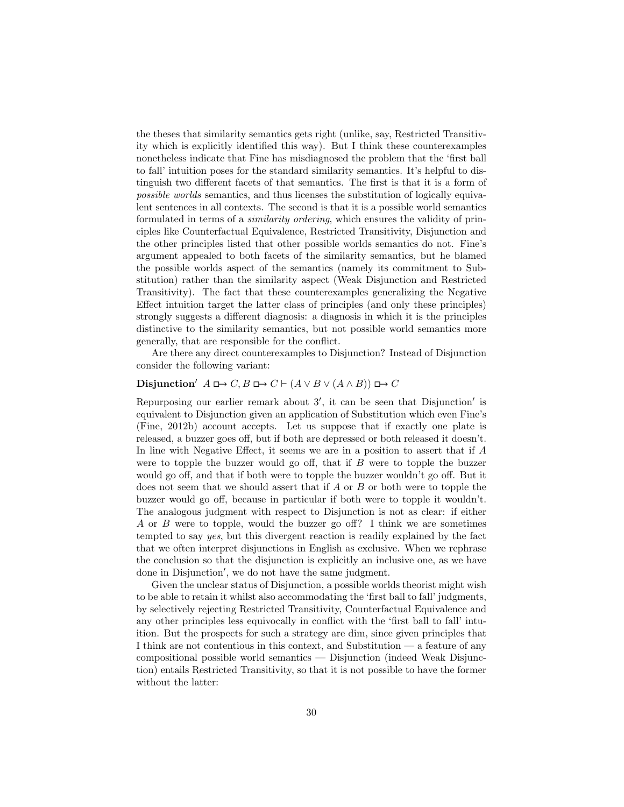the theses that similarity semantics gets right (unlike, say, Restricted Transitivity which is explicitly identified this way). But I think these counterexamples nonetheless indicate that Fine has misdiagnosed the problem that the 'first ball to fall' intuition poses for the standard similarity semantics. It's helpful to distinguish two different facets of that semantics. The first is that it is a form of possible worlds semantics, and thus licenses the substitution of logically equivalent sentences in all contexts. The second is that it is a possible world semantics formulated in terms of a similarity ordering, which ensures the validity of principles like Counterfactual Equivalence, Restricted Transitivity, Disjunction and the other principles listed that other possible worlds semantics do not. Fine's argument appealed to both facets of the similarity semantics, but he blamed the possible worlds aspect of the semantics (namely its commitment to Substitution) rather than the similarity aspect (Weak Disjunction and Restricted Transitivity). The fact that these counterexamples generalizing the Negative Effect intuition target the latter class of principles (and only these principles) strongly suggests a different diagnosis: a diagnosis in which it is the principles distinctive to the similarity semantics, but not possible world semantics more generally, that are responsible for the conflict.

Are there any direct counterexamples to Disjunction? Instead of Disjunction consider the following variant:

### Disjunction'  $A \Box \rightarrow C$ ,  $B \Box \rightarrow C \vdash (A \lor B \lor (A \land B)) \Box \rightarrow C$

Repurposing our earlier remark about  $3'$ , it can be seen that Disjunction' is equivalent to Disjunction given an application of Substitution which even Fine's (Fine, 2012b) account accepts. Let us suppose that if exactly one plate is released, a buzzer goes off, but if both are depressed or both released it doesn't. In line with Negative Effect, it seems we are in a position to assert that if A were to topple the buzzer would go off, that if  $B$  were to topple the buzzer would go off, and that if both were to topple the buzzer wouldn't go off. But it does not seem that we should assert that if A or B or both were to topple the buzzer would go off, because in particular if both were to topple it wouldn't. The analogous judgment with respect to Disjunction is not as clear: if either A or B were to topple, would the buzzer go off? I think we are sometimes tempted to say yes, but this divergent reaction is readily explained by the fact that we often interpret disjunctions in English as exclusive. When we rephrase the conclusion so that the disjunction is explicitly an inclusive one, as we have done in Disjunction', we do not have the same judgment.

Given the unclear status of Disjunction, a possible worlds theorist might wish to be able to retain it whilst also accommodating the 'first ball to fall' judgments, by selectively rejecting Restricted Transitivity, Counterfactual Equivalence and any other principles less equivocally in conflict with the 'first ball to fall' intuition. But the prospects for such a strategy are dim, since given principles that I think are not contentious in this context, and Substitution — a feature of any compositional possible world semantics — Disjunction (indeed Weak Disjunction) entails Restricted Transitivity, so that it is not possible to have the former without the latter: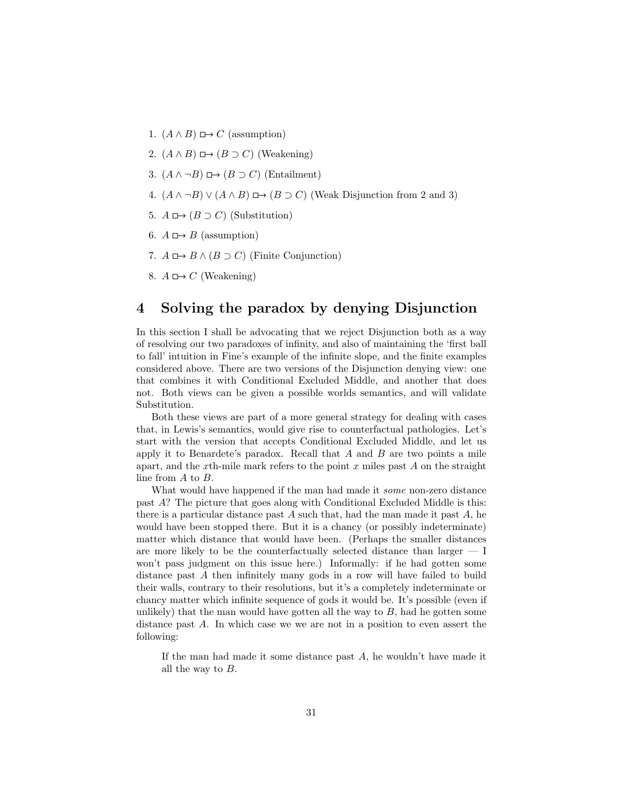- 1.  $(A \wedge B) \square \rightarrow C$  (assumption)
- 2.  $(A \wedge B) \square \rightarrow (B \supset C)$  (Weakening)
- 3.  $(A \land \neg B) \square \rightarrow (B \supset C)$  (Entailment)
- 4.  $(A \wedge \neg B) \vee (A \wedge B) \mapsto (B \supset C)$  (Weak Disjunction from 2 and 3)
- 5.  $A \mapsto (B \supset C)$  (Substitution)
- 6.  $A \mapsto B$  (assumption)
- 7.  $A \rightharpoonup B \wedge (B \supset C)$  (Finite Conjunction)
- 8.  $A \mapsto C$  (Weakening)

## 4 Solving the paradox by denying Disjunction

In this section I shall be advocating that we reject Disjunction both as a way of resolving our two paradoxes of infinity, and also of maintaining the 'first ball to fall' intuition in Fine's example of the infinite slope, and the finite examples considered above. There are two versions of the Disjunction denying view: one that combines it with Conditional Excluded Middle, and another that does not. Both views can be given a possible worlds semantics, and will validate Substitution.

Both these views are part of a more general strategy for dealing with cases that, in Lewis's semantics, would give rise to counterfactual pathologies. Let's start with the version that accepts Conditional Excluded Middle, and let us apply it to Benardete's paradox. Recall that  $A$  and  $B$  are two points a mile apart, and the x<sup>th-mile</sup> mark refers to the point  $x$  miles past  $A$  on the straight line from A to B.

What would have happened if the man had made it *some* non-zero distance past A? The picture that goes along with Conditional Excluded Middle is this: there is a particular distance past  $A$  such that, had the man made it past  $A$ , he would have been stopped there. But it is a chancy (or possibly indeterminate) matter which distance that would have been. (Perhaps the smaller distances are more likely to be the counterfactually selected distance than larger  $- I$ won't pass judgment on this issue here.) Informally: if he had gotten some distance past A then infinitely many gods in a row will have failed to build their walls, contrary to their resolutions, but it's a completely indeterminate or chancy matter which infinite sequence of gods it would be. It's possible (even if unlikely) that the man would have gotten all the way to  $B$ , had he gotten some distance past A. In which case we we are not in a position to even assert the following:

If the man had made it some distance past A, he wouldn't have made it all the way to  $B$ .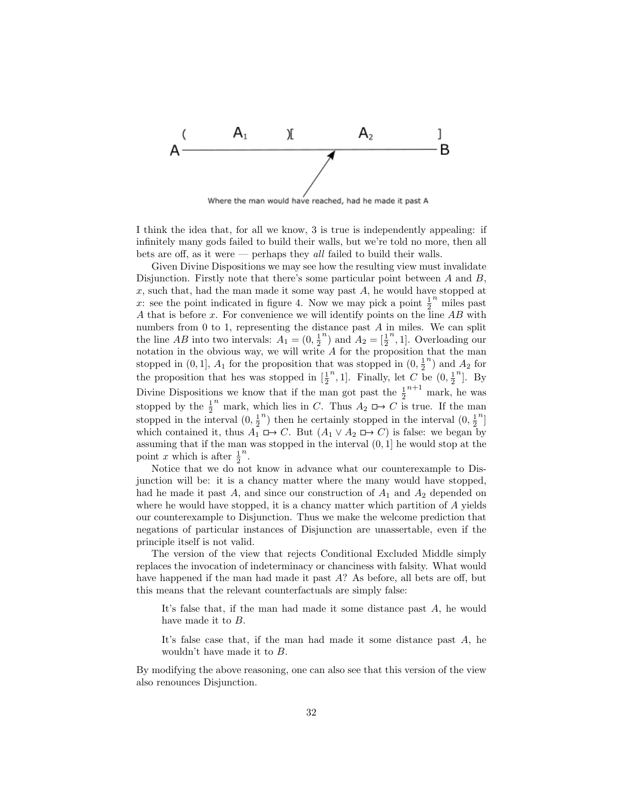

Where the man would have reached, had he made it past A

I think the idea that, for all we know, 3 is true is independently appealing: if infinitely many gods failed to build their walls, but we're told no more, then all bets are off, as it were — perhaps they all failed to build their walls.

Given Divine Dispositions we may see how the resulting view must invalidate Disjunction. Firstly note that there's some particular point between  $A$  and  $B$ ,  $x$ , such that, had the man made it some way past  $A$ , he would have stopped at x: see the point indicated in figure 4. Now we may pick a point  $\frac{1}{2}^n$  miles past A that is before x. For convenience we will identify points on the line  $AB$  with numbers from 0 to 1, representing the distance past A in miles. We can split the line  $AB$  into two intervals:  $A_1 = (0, \frac{1}{2})$  $n$ ) and  $A_2 = \left[\frac{1}{2}\right]$  $n$ , 1. Overloading our notation in the obvious way, we will write  $A$  for the proposition that the man stopped in  $(0, 1]$ ,  $A_1$  for the proposition that was stopped in  $(0, \frac{1}{2}^n)$  and  $A_2$  for stopped in  $(0, 1]$ ,  $\overline{z_1}$  for the proposition that was stopped in  $\left[\frac{1}{2}^n, 1\right]$ . Finally, let C b <sup>n</sup>, 1]. Finally, let  $C$  be  $(0, \frac{1}{2})$ <sup>*n*</sup>]. By Divine Dispositions we know that if the man got past the  $\frac{1}{2}^{n+1}$  mark, he was stopped by the  $\frac{1}{2}^n$  mark, which lies in C. Thus  $A_2 \square \rightarrow C$  is true. If the man stopped in the interval  $(0, \frac{1}{2})$  $\binom{n}{1}$  then he certainly stopped in the interval  $(0, \frac{1}{2})$  $\binom{n}{\alpha}$ which contained it, thus  $A_1 \nightharpoonup C$ . But  $(A_1 \vee A_2 \nightharpoonup C)$  is false: we began by assuming that if the man was stopped in the interval (0, 1] he would stop at the point x which is after  $\frac{1}{2}$ n .

Notice that we do not know in advance what our counterexample to Disjunction will be: it is a chancy matter where the many would have stopped, had he made it past  $A$ , and since our construction of  $A_1$  and  $A_2$  depended on where he would have stopped, it is a chancy matter which partition of A yields our counterexample to Disjunction. Thus we make the welcome prediction that negations of particular instances of Disjunction are unassertable, even if the principle itself is not valid.

The version of the view that rejects Conditional Excluded Middle simply replaces the invocation of indeterminacy or chanciness with falsity. What would have happened if the man had made it past A? As before, all bets are off, but this means that the relevant counterfactuals are simply false:

It's false that, if the man had made it some distance past A, he would have made it to B.

It's false case that, if the man had made it some distance past A, he wouldn't have made it to B.

By modifying the above reasoning, one can also see that this version of the view also renounces Disjunction.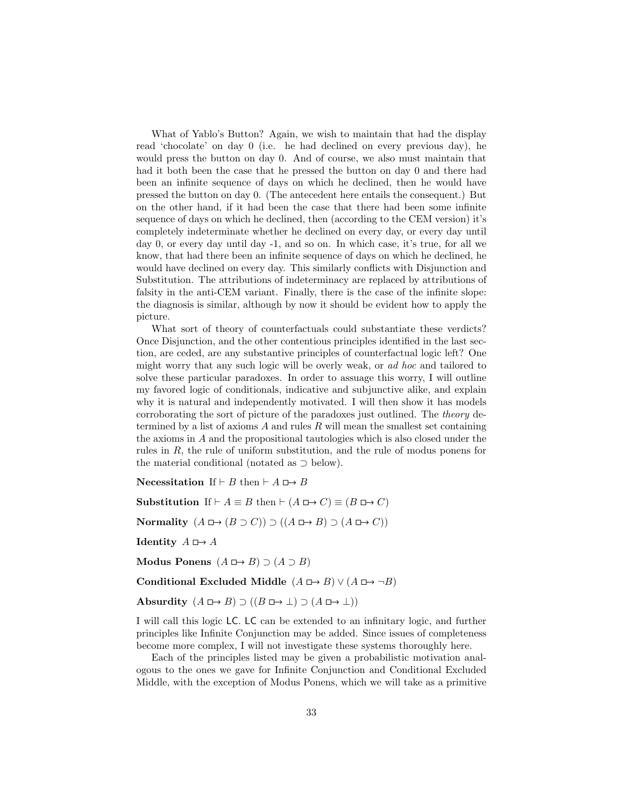What of Yablo's Button? Again, we wish to maintain that had the display read 'chocolate' on day 0 (i.e. he had declined on every previous day), he would press the button on day 0. And of course, we also must maintain that had it both been the case that he pressed the button on day 0 and there had been an infinite sequence of days on which he declined, then he would have pressed the button on day 0. (The antecedent here entails the consequent.) But on the other hand, if it had been the case that there had been some infinite sequence of days on which he declined, then (according to the CEM version) it's completely indeterminate whether he declined on every day, or every day until day 0, or every day until day -1, and so on. In which case, it's true, for all we know, that had there been an infinite sequence of days on which he declined, he would have declined on every day. This similarly conflicts with Disjunction and Substitution. The attributions of indeterminacy are replaced by attributions of falsity in the anti-CEM variant. Finally, there is the case of the infinite slope: the diagnosis is similar, although by now it should be evident how to apply the picture.

What sort of theory of counterfactuals could substantiate these verdicts? Once Disjunction, and the other contentious principles identified in the last section, are ceded, are any substantive principles of counterfactual logic left? One might worry that any such logic will be overly weak, or ad hoc and tailored to solve these particular paradoxes. In order to assuage this worry, I will outline my favored logic of conditionals, indicative and subjunctive alike, and explain why it is natural and independently motivated. I will then show it has models corroborating the sort of picture of the paradoxes just outlined. The theory determined by a list of axioms  $A$  and rules  $R$  will mean the smallest set containing the axioms in A and the propositional tautologies which is also closed under the rules in R, the rule of uniform substitution, and the rule of modus ponens for the material conditional (notated as ⊃ below).

Necessitation If  $\vdash B$  then  $\vdash A \sqcup \rightarrow B$ 

Substitution If  $\vdash A \equiv B$  then  $\vdash (A \Box \rightarrow C) \equiv (B \Box \rightarrow C)$ 

Normality  $(A \rhd (B \supset C)) \supset ((A \rhd B) \supset (A \rhd C))$ 

Identity  $A \rightharpoonup A$ 

Modus Ponens  $(A \rightharpoonup B) \supset (A \supset B)$ 

Conditional Excluded Middle  $(A \rhd B) \lor (A \rhd \rightarrow \neg B)$ 

Absurdity  $(A \rhd B) \supset ((B \rhd \rightarrow \bot) \supset (A \rhd \rightarrow \bot))$ 

I will call this logic LC. LC can be extended to an infinitary logic, and further principles like Infinite Conjunction may be added. Since issues of completeness become more complex, I will not investigate these systems thoroughly here.

Each of the principles listed may be given a probabilistic motivation analogous to the ones we gave for Infinite Conjunction and Conditional Excluded Middle, with the exception of Modus Ponens, which we will take as a primitive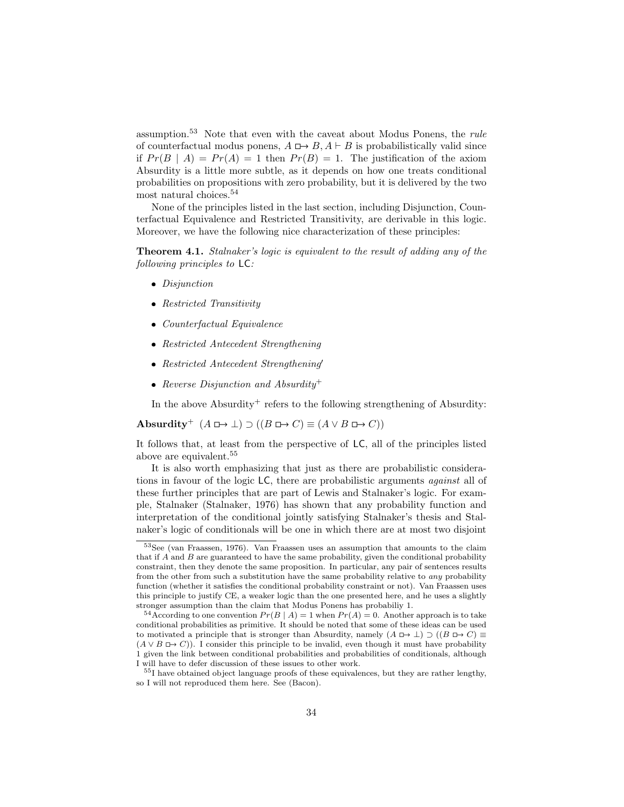assumption.<sup>53</sup> Note that even with the caveat about Modus Ponens, the rule of counterfactual modus ponens,  $A \rightharpoonup B$ ,  $A \rightharpoonup B$  is probabilistically valid since if  $Pr(B \mid A) = Pr(A) = 1$  then  $Pr(B) = 1$ . The justification of the axiom Absurdity is a little more subtle, as it depends on how one treats conditional probabilities on propositions with zero probability, but it is delivered by the two most natural choices.<sup>54</sup>

None of the principles listed in the last section, including Disjunction, Counterfactual Equivalence and Restricted Transitivity, are derivable in this logic. Moreover, we have the following nice characterization of these principles:

Theorem 4.1. Stalnaker's logic is equivalent to the result of adding any of the following principles to LC:

- Disjunction
- Restricted Transitivity
- Counterfactual Equivalence
- Restricted Antecedent Strengthening
- Restricted Antecedent Strengthening
- Reverse Disjunction and Absurdity<sup>+</sup>

In the above Absurdity<sup>+</sup> refers to the following strengthening of Absurdity:

Absurdity<sup>+</sup>  $(A \Box \rightarrow \bot) \supset ((B \Box \rightarrow C) \equiv (A \lor B \Box \rightarrow C))$ 

It follows that, at least from the perspective of LC, all of the principles listed above are equivalent.<sup>55</sup>

It is also worth emphasizing that just as there are probabilistic considerations in favour of the logic LC, there are probabilistic arguments against all of these further principles that are part of Lewis and Stalnaker's logic. For example, Stalnaker (Stalnaker, 1976) has shown that any probability function and interpretation of the conditional jointly satisfying Stalnaker's thesis and Stalnaker's logic of conditionals will be one in which there are at most two disjoint

<sup>53</sup>See (van Fraassen, 1976). Van Fraassen uses an assumption that amounts to the claim that if  $A$  and  $B$  are guaranteed to have the same probability, given the conditional probability constraint, then they denote the same proposition. In particular, any pair of sentences results from the other from such a substitution have the same probability relative to any probability function (whether it satisfies the conditional probability constraint or not). Van Fraassen uses this principle to justify CE, a weaker logic than the one presented here, and he uses a slightly stronger assumption than the claim that Modus Ponens has probabiliy 1.

<sup>&</sup>lt;sup>54</sup>According to one convention  $Pr(B | A) = 1$  when  $Pr(A) = 0$ . Another approach is to take conditional probabilities as primitive. It should be noted that some of these ideas can be used to motivated a principle that is stronger than Absurdity, namely  $(A \rightharpoonup \bot) \supset ((B \rightharpoonup C) \equiv$  $(A \vee B \rightharpoonup C)$ ). I consider this principle to be invalid, even though it must have probability 1 given the link between conditional probabilities and probabilities of conditionals, although I will have to defer discussion of these issues to other work.

<sup>&</sup>lt;sup>55</sup>I have obtained object language proofs of these equivalences, but they are rather lengthy, so I will not reproduced them here. See (Bacon).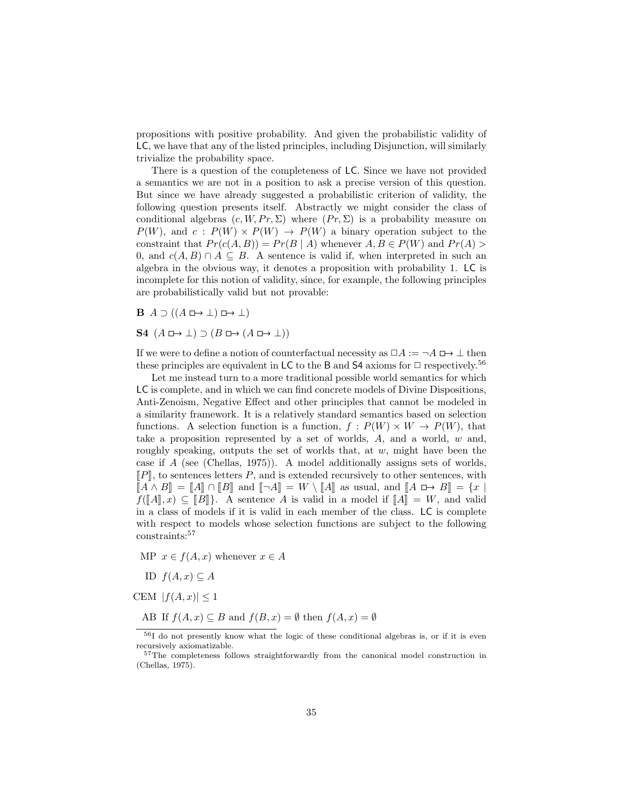propositions with positive probability. And given the probabilistic validity of LC, we have that any of the listed principles, including Disjunction, will similarly trivialize the probability space.

There is a question of the completeness of LC. Since we have not provided a semantics we are not in a position to ask a precise version of this question. But since we have already suggested a probabilistic criterion of validity, the following question presents itself. Abstractly we might consider the class of conditional algebras  $(c, W, Pr, \Sigma)$  where  $(Pr, \Sigma)$  is a probability measure on  $P(W)$ , and  $c: P(W) \times P(W) \rightarrow P(W)$  a binary operation subject to the constraint that  $Pr(c(A, B)) = Pr(B | A)$  whenever  $A, B \in P(W)$  and  $Pr(A) >$ 0, and  $c(A, B) \cap A \subseteq B$ . A sentence is valid if, when interpreted in such an algebra in the obvious way, it denotes a proposition with probability 1. LC is incomplete for this notion of validity, since, for example, the following principles are probabilistically valid but not provable:

 $\mathbf{B} \quad A \supset ((A \Box \rightarrow \bot) \Box \rightarrow \bot)$ 

 $S4$   $(A \rightharpoonup \bot) \supset (B \rightharpoonup (A \rightharpoonup \bot))$ 

If we were to define a notion of counterfactual necessity as  $\Box A := \neg A \Box \rightarrow \bot$  then these principles are equivalent in LC to the B and S4 axioms for  $\Box$  respectively.<sup>56</sup>

Let me instead turn to a more traditional possible world semantics for which LC is complete, and in which we can find concrete models of Divine Dispositions, Anti-Zenoism, Negative Effect and other principles that cannot be modeled in a similarity framework. It is a relatively standard semantics based on selection functions. A selection function is a function,  $f : P(W) \times W \to P(W)$ , that take a proposition represented by a set of worlds, A, and a world, w and, roughly speaking, outputs the set of worlds that, at  $w$ , might have been the case if A (see (Chellas, 1975)). A model additionally assigns sets of worlds,  $\llbracket P \rrbracket$ , to sentences letters P, and is extended recursively to other sentences, with  $\llbracket A \wedge B \rrbracket = \llbracket A \rrbracket \cap \llbracket B \rrbracket$  and  $\llbracket \neg A \rrbracket = W \setminus \llbracket A \rrbracket$  as usual, and  $\llbracket A \square \rightarrow B \rrbracket = \{x \}$  $f([A], x) \subseteq [B]$ . A sentence A is valid in a model if  $[A] = W$ , and valid in a class of models if it is valid in each member of the class. LC is complete with respect to models whose selection functions are subject to the following constraints:<sup>57</sup>

MP  $x \in f(A, x)$  whenever  $x \in A$ 

ID  $f(A, x) \subseteq A$ 

CEM  $|f(A, x)| \leq 1$ 

AB If  $f(A, x) \subseteq B$  and  $f(B, x) = \emptyset$  then  $f(A, x) = \emptyset$ 

<sup>56</sup>I do not presently know what the logic of these conditional algebras is, or if it is even recursively axiomatizable.

<sup>&</sup>lt;sup>57</sup>The completeness follows straightforwardly from the canonical model construction in (Chellas, 1975).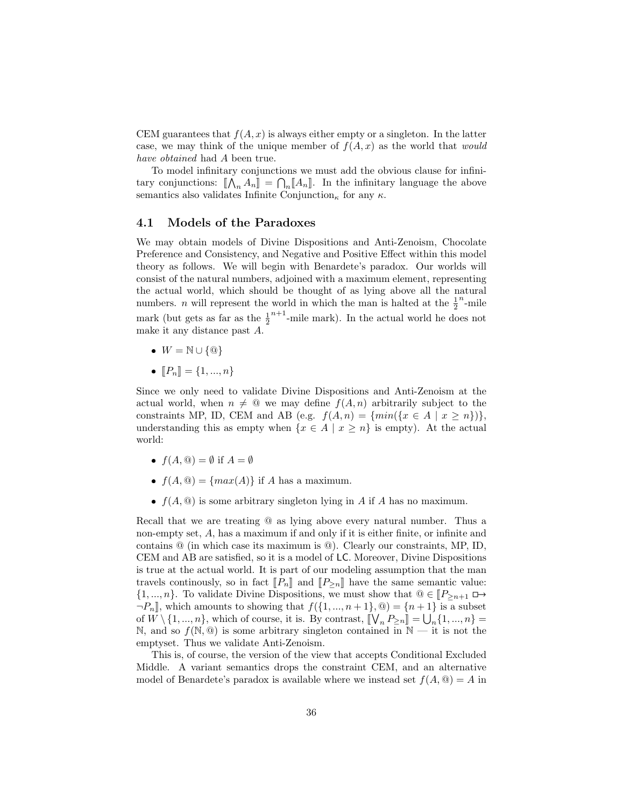CEM guarantees that  $f(A, x)$  is always either empty or a singleton. In the latter case, we may think of the unique member of  $f(A, x)$  as the world that *would* have obtained had A been true.

To model infinitary conjunctions we must add the obvious clause for infinitary conjunctions:  $[\![\bigwedge_n A_n]\!] = \bigcap_n [\![A_n]\!]$ . In the infinitary language the above<br>sometime also validates Infinite Conjunction, for any  $\kappa$ semantics also validates Infinite Conjunction<sub>κ</sub> for any  $\kappa$ .

### 4.1 Models of the Paradoxes

We may obtain models of Divine Dispositions and Anti-Zenoism, Chocolate Preference and Consistency, and Negative and Positive Effect within this model theory as follows. We will begin with Benardete's paradox. Our worlds will consist of the natural numbers, adjoined with a maximum element, representing the actual world, which should be thought of as lying above all the natural numbers. *n* will represent the world in which the man is halted at the  $\frac{1}{2}$  $n_{\text{-mile}}$ mark (but gets as far as the  $\frac{1}{2}^{n+1}$ -mile mark). In the actual world he does not make it any distance past A.

- $\bullet W = \mathbb{N} \cup \{ \circledcirc \}$
- $[P_n] = \{1, ..., n\}$

Since we only need to validate Divine Dispositions and Anti-Zenoism at the actual world, when  $n \neq \mathcal{Q}$  we may define  $f(A, n)$  arbitrarily subject to the constraints MP, ID, CEM and AB (e.g.  $f(A, n) = \{min({x \in A \mid x \geq n})\},\$ understanding this as empty when  $\{x \in A \mid x \geq n\}$  is empty). At the actual world:

- $f(A, \mathbb{Q}) = \emptyset$  if  $A = \emptyset$
- $f(A, \mathbb{Q}) = \{max(A)\}\$ if A has a maximum.
- $f(A, \mathcal{Q})$  is some arbitrary singleton lying in A if A has no maximum.

Recall that we are treating @ as lying above every natural number. Thus a non-empty set, A, has a maximum if and only if it is either finite, or infinite and contains @ (in which case its maximum is @). Clearly our constraints, MP, ID, CEM and AB are satisfied, so it is a model of LC. Moreover, Divine Dispositions is true at the actual world. It is part of our modeling assumption that the man travels continuously, so in fact  $[[P_n]]$  and  $[[P_{\geq n}]]$  have the same semantic value:  $\{1, ..., n\}$ . To validate Divine Dispositions, we must show that  $\mathbb{Q} \in [P_{\geq n+1} \square \rightarrow$  $\neg P_n$ , which amounts to showing that  $f(\{1, ..., n+1\}, \mathcal{Q}) = \{n+1\}$  is a subset of  $W \setminus \{1, ..., n\}$ , which of course, it is. By contrast,  $\llbracket V_n P_{\geq n} \rrbracket = \bigcup_n \{1, ..., n\} = \mathbb{N}$  and so  $f(\mathbb{N} \cap \mathbb{N})$  is some printer simpleten contained in  $\mathbb{N}$  it is not the N, and so  $f(\mathbb{N}, \mathbb{Q})$  is some arbitrary singleton contained in  $\mathbb{N}$  — it is not the emptyset. Thus we validate Anti-Zenoism.

This is, of course, the version of the view that accepts Conditional Excluded Middle. A variant semantics drops the constraint CEM, and an alternative model of Benardete's paradox is available where we instead set  $f(A, \mathcal{Q}) = A$  in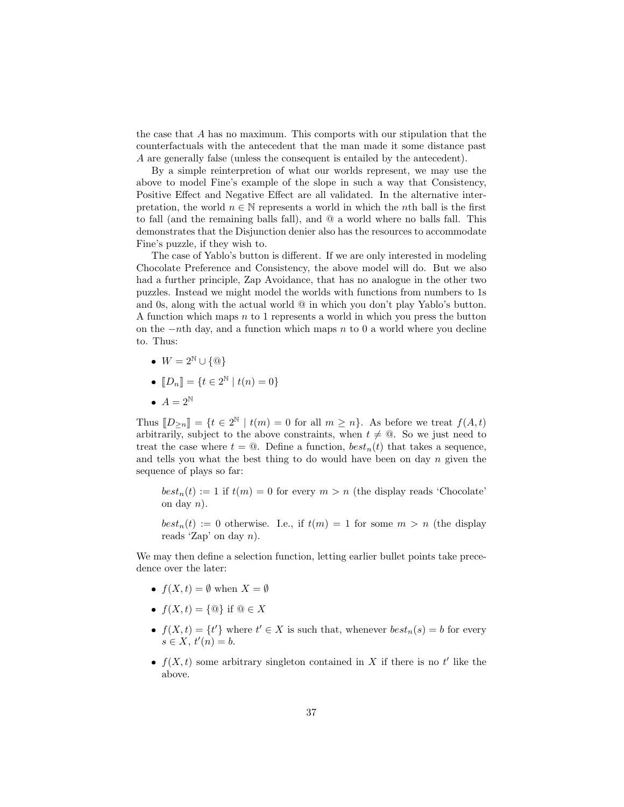the case that A has no maximum. This comports with our stipulation that the counterfactuals with the antecedent that the man made it some distance past A are generally false (unless the consequent is entailed by the antecedent).

By a simple reinterpretion of what our worlds represent, we may use the above to model Fine's example of the slope in such a way that Consistency, Positive Effect and Negative Effect are all validated. In the alternative interpretation, the world  $n \in \mathbb{N}$  represents a world in which the nth ball is the first to fall (and the remaining balls fall), and @ a world where no balls fall. This demonstrates that the Disjunction denier also has the resources to accommodate Fine's puzzle, if they wish to.

The case of Yablo's button is different. If we are only interested in modeling Chocolate Preference and Consistency, the above model will do. But we also had a further principle, Zap Avoidance, that has no analogue in the other two puzzles. Instead we might model the worlds with functions from numbers to 1s and 0s, along with the actual world  $\mathcal Q$  in which you don't play Yablo's button. A function which maps  $n$  to 1 represents a world in which you press the button on the  $-n$ th day, and a function which maps n to 0 a world where you decline to. Thus:

- $W = 2^{\mathbb{N}} \cup {\emptyset}$
- $[D_n] = \{t \in 2^{\mathbb{N}} \mid t(n) = 0\}$
- $A = 2^{\mathbb{N}}$

Thus  $[[D_{\geq n}]] = \{t \in 2^{\mathbb{N}} \mid t(m) = 0 \text{ for all } m \geq n\}$ . As before we treat  $f(A, t)$ arbitrarily, subject to the above constraints, when  $t \neq \emptyset$ . So we just need to treat the case where  $t = \mathbf{Q}$ . Define a function,  $best_n(t)$  that takes a sequence, and tells you what the best thing to do would have been on day  $n$  given the sequence of plays so far:

 $best_n(t) := 1$  if  $t(m) = 0$  for every  $m > n$  (the display reads 'Chocolate' on day  $n$ ).

 $best_n(t) := 0$  otherwise. I.e., if  $t(m) = 1$  for some  $m > n$  (the display reads 'Zap' on day  $n$ ).

We may then define a selection function, letting earlier bullet points take precedence over the later:

- $f(X, t) = \emptyset$  when  $X = \emptyset$
- $f(X, t) = \{ \textcircled{\textcircled{a}} \}$  if  $\textcircled{\textcircled{a}} \in X$
- $f(X,t) = \{t'\}$  where  $t' \in X$  is such that, whenever  $best_n(s) = b$  for every  $s \in X$ ,  $t'(n) = b$ .
- $f(X, t)$  some arbitrary singleton contained in X if there is no t' like the above.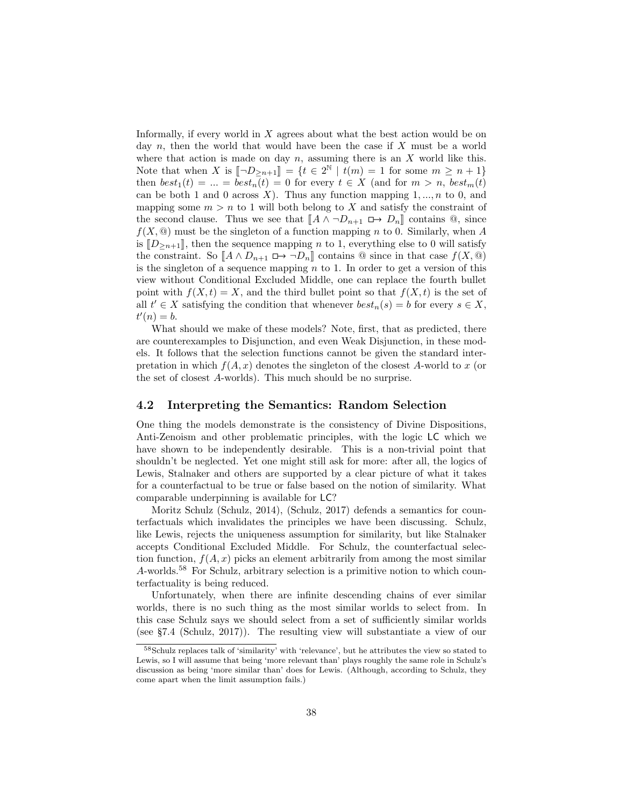Informally, if every world in  $X$  agrees about what the best action would be on day  $n$ , then the world that would have been the case if  $X$  must be a world where that action is made on day  $n$ , assuming there is an X world like this. Note that when X is  $\left[\neg D_{\geq n+1}\right] = \{t \in 2^{\mathbb{N}} \mid t(m) = 1 \text{ for some } m \geq n+1\}$ <br>then heat  $(t) = -$  heat  $(t) = 0$  for every  $t \in X$  (and for  $m > n$  heat  $(t)$ ) then  $best_1(t) = ... = best_n(t) = 0$  for every  $t \in X$  (and for  $m > n$ ,  $best_m(t)$ ) can be both 1 and 0 across X). Thus any function mapping  $1, ..., n$  to 0, and mapping some  $m > n$  to 1 will both belong to X and satisfy the constraint of the second clause. Thus we see that  $\llbracket A \wedge \neg D_{n+1} \sqcup \rightarrow D_n \rrbracket$  contains  $\textcircled{a}$ , since  $f(X, \mathcal{Q})$  must be the singleton of a function mapping n to 0. Similarly, when A is  $[D_{\geq n+1}]$ , then the sequence mapping n to 1, everything else to 0 will satisfy the constraint. So  $\llbracket A \wedge D_{n+1} \sqcup \rightarrow \neg D_n \rrbracket$  contains  $\mathbb Q$  since in that case  $f(X, \mathbb Q)$ is the singleton of a sequence mapping  $n$  to 1. In order to get a version of this view without Conditional Excluded Middle, one can replace the fourth bullet point with  $f(X,t) = X$ , and the third bullet point so that  $f(X,t)$  is the set of all  $t' \in X$  satisfying the condition that whenever  $best_n(s) = b$  for every  $s \in X$ ,  $t'(n) = b.$ 

What should we make of these models? Note, first, that as predicted, there are counterexamples to Disjunction, and even Weak Disjunction, in these models. It follows that the selection functions cannot be given the standard interpretation in which  $f(A, x)$  denotes the singleton of the closest A-world to x (or the set of closest A-worlds). This much should be no surprise.

#### 4.2 Interpreting the Semantics: Random Selection

One thing the models demonstrate is the consistency of Divine Dispositions, Anti-Zenoism and other problematic principles, with the logic LC which we have shown to be independently desirable. This is a non-trivial point that shouldn't be neglected. Yet one might still ask for more: after all, the logics of Lewis, Stalnaker and others are supported by a clear picture of what it takes for a counterfactual to be true or false based on the notion of similarity. What comparable underpinning is available for LC?

Moritz Schulz (Schulz, 2014), (Schulz, 2017) defends a semantics for counterfactuals which invalidates the principles we have been discussing. Schulz, like Lewis, rejects the uniqueness assumption for similarity, but like Stalnaker accepts Conditional Excluded Middle. For Schulz, the counterfactual selection function,  $f(A, x)$  picks an element arbitrarily from among the most similar A-worlds.<sup>58</sup> For Schulz, arbitrary selection is a primitive notion to which counterfactuality is being reduced.

Unfortunately, when there are infinite descending chains of ever similar worlds, there is no such thing as the most similar worlds to select from. In this case Schulz says we should select from a set of sufficiently similar worlds (see §7.4 (Schulz, 2017)). The resulting view will substantiate a view of our

<sup>58</sup>Schulz replaces talk of 'similarity' with 'relevance', but he attributes the view so stated to Lewis, so I will assume that being 'more relevant than' plays roughly the same role in Schulz's discussion as being 'more similar than' does for Lewis. (Although, according to Schulz, they come apart when the limit assumption fails.)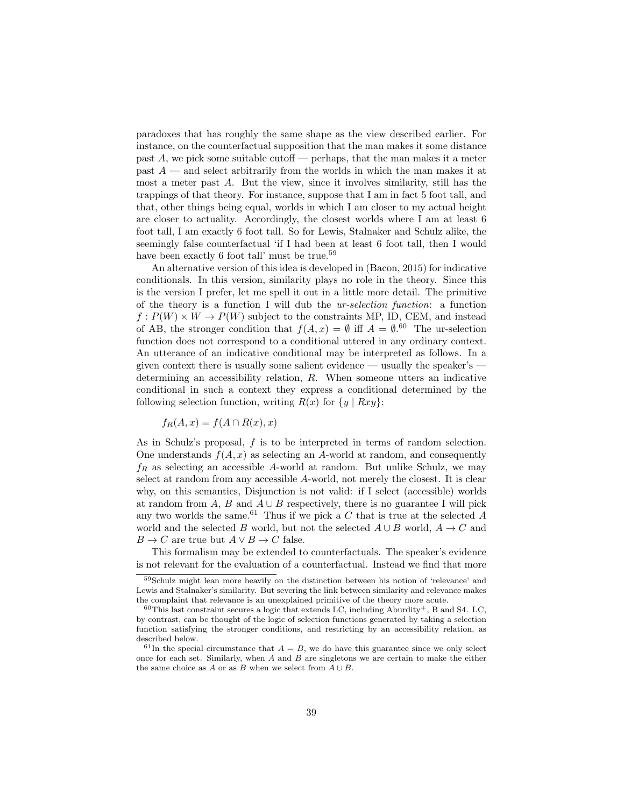paradoxes that has roughly the same shape as the view described earlier. For instance, on the counterfactual supposition that the man makes it some distance past  $A$ , we pick some suitable cutoff — perhaps, that the man makes it a meter past  $A$  — and select arbitrarily from the worlds in which the man makes it at most a meter past A. But the view, since it involves similarity, still has the trappings of that theory. For instance, suppose that I am in fact 5 foot tall, and that, other things being equal, worlds in which I am closer to my actual height are closer to actuality. Accordingly, the closest worlds where I am at least 6 foot tall, I am exactly 6 foot tall. So for Lewis, Stalnaker and Schulz alike, the seemingly false counterfactual 'if I had been at least 6 foot tall, then I would have been exactly 6 foot tall' must be true.<sup>59</sup>

An alternative version of this idea is developed in (Bacon, 2015) for indicative conditionals. In this version, similarity plays no role in the theory. Since this is the version I prefer, let me spell it out in a little more detail. The primitive of the theory is a function I will dub the ur-selection function: a function  $f: P(W) \times W \rightarrow P(W)$  subject to the constraints MP, ID, CEM, and instead of AB, the stronger condition that  $f(A, x) = \emptyset$  iff  $A = \emptyset$ .<sup>60</sup> The ur-selection function does not correspond to a conditional uttered in any ordinary context. An utterance of an indicative conditional may be interpreted as follows. In a given context there is usually some salient evidence — usually the speaker's  $\overline{\phantom{a}}$ determining an accessibility relation, R. When someone utters an indicative conditional in such a context they express a conditional determined by the following selection function, writing  $R(x)$  for  $\{y \mid Rxy\}$ :

$$
f_R(A, x) = f(A \cap R(x), x)
$$

As in Schulz's proposal,  $f$  is to be interpreted in terms of random selection. One understands  $f(A, x)$  as selecting an A-world at random, and consequently  $f_R$  as selecting an accessible A-world at random. But unlike Schulz, we may select at random from any accessible A-world, not merely the closest. It is clear why, on this semantics, Disjunction is not valid: if I select (accessible) worlds at random from A, B and  $A \cup B$  respectively, there is no guarantee I will pick any two worlds the same.<sup>61</sup> Thus if we pick a  $C$  that is true at the selected  $A$ world and the selected B world, but not the selected  $A \cup B$  world,  $A \rightarrow C$  and  $B \to C$  are true but  $A \lor B \to C$  false.

This formalism may be extended to counterfactuals. The speaker's evidence is not relevant for the evaluation of a counterfactual. Instead we find that more

<sup>59</sup>Schulz might lean more heavily on the distinction between his notion of 'relevance' and Lewis and Stalnaker's similarity. But severing the link between similarity and relevance makes the complaint that relevance is an unexplained primitive of the theory more acute.

 $60$ This last constraint secures a logic that extends LC, including Aburdity<sup>+</sup>, B and S4. LC, by contrast, can be thought of the logic of selection functions generated by taking a selection function satisfying the stronger conditions, and restricting by an accessibility relation, as described below.

<sup>&</sup>lt;sup>61</sup>In the special circumstance that  $A = B$ , we do have this guarantee since we only select once for each set. Similarly, when  $A$  and  $B$  are singletons we are certain to make the either the same choice as A or as B when we select from  $A \cup B$ .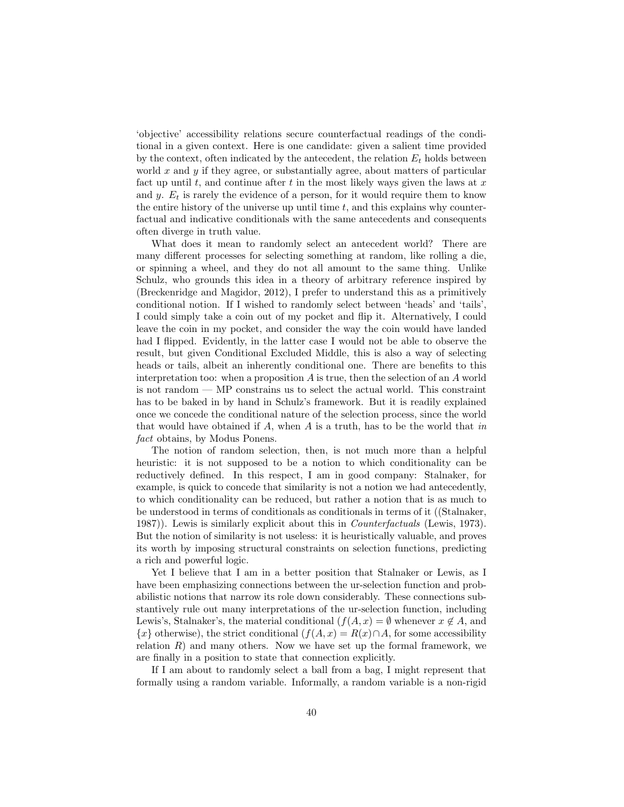'objective' accessibility relations secure counterfactual readings of the conditional in a given context. Here is one candidate: given a salient time provided by the context, often indicated by the antecedent, the relation  $E_t$  holds between world  $x$  and  $y$  if they agree, or substantially agree, about matters of particular fact up until  $t$ , and continue after  $t$  in the most likely ways given the laws at  $x$ and  $y$ .  $E_t$  is rarely the evidence of a person, for it would require them to know the entire history of the universe up until time  $t$ , and this explains why counterfactual and indicative conditionals with the same antecedents and consequents often diverge in truth value.

What does it mean to randomly select an antecedent world? There are many different processes for selecting something at random, like rolling a die, or spinning a wheel, and they do not all amount to the same thing. Unlike Schulz, who grounds this idea in a theory of arbitrary reference inspired by (Breckenridge and Magidor, 2012), I prefer to understand this as a primitively conditional notion. If I wished to randomly select between 'heads' and 'tails', I could simply take a coin out of my pocket and flip it. Alternatively, I could leave the coin in my pocket, and consider the way the coin would have landed had I flipped. Evidently, in the latter case I would not be able to observe the result, but given Conditional Excluded Middle, this is also a way of selecting heads or tails, albeit an inherently conditional one. There are benefits to this interpretation too: when a proposition A is true, then the selection of an A world is not random — MP constrains us to select the actual world. This constraint has to be baked in by hand in Schulz's framework. But it is readily explained once we concede the conditional nature of the selection process, since the world that would have obtained if A, when A is a truth, has to be the world that in fact obtains, by Modus Ponens.

The notion of random selection, then, is not much more than a helpful heuristic: it is not supposed to be a notion to which conditionality can be reductively defined. In this respect, I am in good company: Stalnaker, for example, is quick to concede that similarity is not a notion we had antecedently, to which conditionality can be reduced, but rather a notion that is as much to be understood in terms of conditionals as conditionals in terms of it ((Stalnaker, 1987). Lewis is similarly explicit about this in *Counterfactuals* (Lewis, 1973). But the notion of similarity is not useless: it is heuristically valuable, and proves its worth by imposing structural constraints on selection functions, predicting a rich and powerful logic.

Yet I believe that I am in a better position that Stalnaker or Lewis, as I have been emphasizing connections between the ur-selection function and probabilistic notions that narrow its role down considerably. These connections substantively rule out many interpretations of the ur-selection function, including Lewis's, Stalnaker's, the material conditional  $(f(A, x) = \emptyset$  whenever  $x \notin A$ , and  ${x}$  otherwise), the strict conditional  $(f(A, x) = R(x) \cap A)$ , for some accessibility relation  $R$ ) and many others. Now we have set up the formal framework, we are finally in a position to state that connection explicitly.

If I am about to randomly select a ball from a bag, I might represent that formally using a random variable. Informally, a random variable is a non-rigid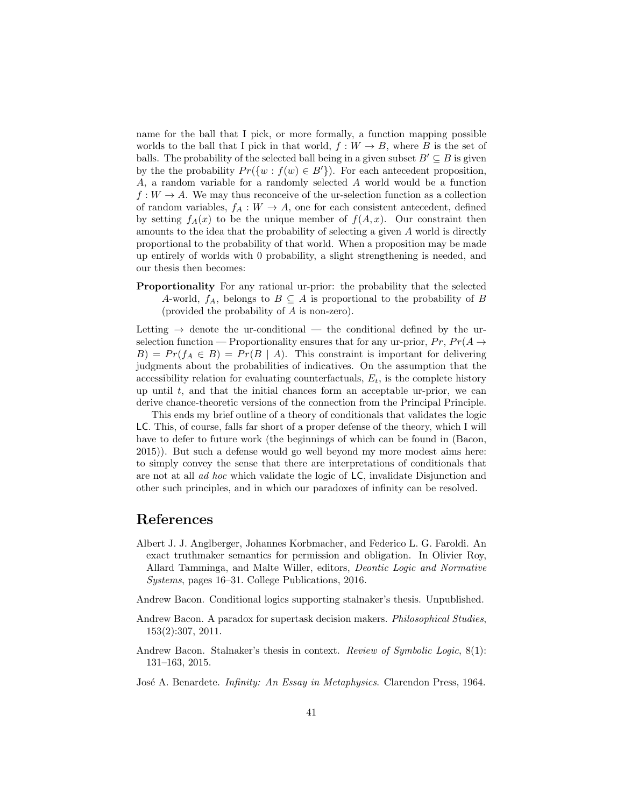name for the ball that I pick, or more formally, a function mapping possible worlds to the ball that I pick in that world,  $f: W \to B$ , where B is the set of balls. The probability of the selected ball being in a given subset  $B' \subseteq B$  is given by the the probability  $Pr({w : f(w) \in B'})$ . For each antecedent proposition, A, a random variable for a randomly selected A world would be a function  $f: W \to A$ . We may thus reconceive of the ur-selection function as a collection of random variables,  $f_A: W \to A$ , one for each consistent antecedent, defined by setting  $f_A(x)$  to be the unique member of  $f(A, x)$ . Our constraint then amounts to the idea that the probability of selecting a given A world is directly proportional to the probability of that world. When a proposition may be made up entirely of worlds with 0 probability, a slight strengthening is needed, and our thesis then becomes:

Proportionality For any rational ur-prior: the probability that the selected A-world,  $f_A$ , belongs to  $B \subseteq A$  is proportional to the probability of B (provided the probability of A is non-zero).

Letting  $\rightarrow$  denote the ur-conditional — the conditional defined by the urselection function — Proportionality ensures that for any ur-prior,  $Pr$ ,  $Pr(A \rightarrow$  $B$ ) =  $Pr(f_A \in B)$  =  $Pr(B \mid A)$ . This constraint is important for delivering judgments about the probabilities of indicatives. On the assumption that the accessibility relation for evaluating counterfactuals,  $E_t$ , is the complete history up until  $t$ , and that the initial chances form an acceptable ur-prior, we can derive chance-theoretic versions of the connection from the Principal Principle.

This ends my brief outline of a theory of conditionals that validates the logic LC. This, of course, falls far short of a proper defense of the theory, which I will have to defer to future work (the beginnings of which can be found in (Bacon, 2015)). But such a defense would go well beyond my more modest aims here: to simply convey the sense that there are interpretations of conditionals that are not at all ad hoc which validate the logic of LC, invalidate Disjunction and other such principles, and in which our paradoxes of infinity can be resolved.

## References

- Albert J. J. Anglberger, Johannes Korbmacher, and Federico L. G. Faroldi. An exact truthmaker semantics for permission and obligation. In Olivier Roy, Allard Tamminga, and Malte Willer, editors, Deontic Logic and Normative Systems, pages 16–31. College Publications, 2016.
- Andrew Bacon. Conditional logics supporting stalnaker's thesis. Unpublished.
- Andrew Bacon. A paradox for supertask decision makers. Philosophical Studies, 153(2):307, 2011.
- Andrew Bacon. Stalnaker's thesis in context. Review of Symbolic Logic, 8(1): 131–163, 2015.
- José A. Benardete. Infinity: An Essay in Metaphysics. Clarendon Press, 1964.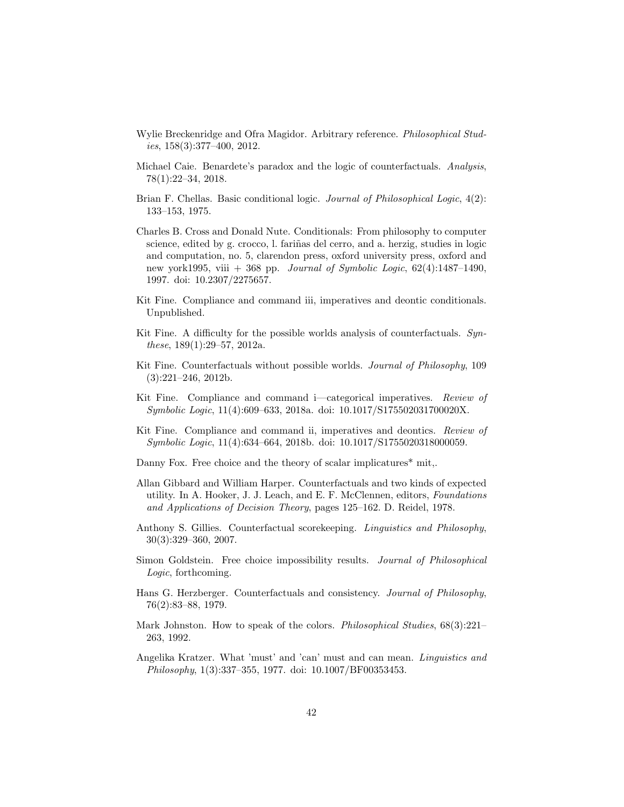- Wylie Breckenridge and Ofra Magidor. Arbitrary reference. Philosophical Studies, 158(3):377–400, 2012.
- Michael Caie. Benardete's paradox and the logic of counterfactuals. Analysis, 78(1):22–34, 2018.
- Brian F. Chellas. Basic conditional logic. Journal of Philosophical Logic, 4(2): 133–153, 1975.
- Charles B. Cross and Donald Nute. Conditionals: From philosophy to computer science, edited by g. crocco, l. fariñas del cerro, and a. herzig, studies in logic and computation, no. 5, clarendon press, oxford university press, oxford and new york1995, viii  $+368$  pp. *Journal of Symbolic Logic*,  $62(4):1487-1490$ , 1997. doi: 10.2307/2275657.
- Kit Fine. Compliance and command iii, imperatives and deontic conditionals. Unpublished.
- Kit Fine. A difficulty for the possible worlds analysis of counterfactuals. Synthese, 189(1):29–57, 2012a.
- Kit Fine. Counterfactuals without possible worlds. Journal of Philosophy, 109 (3):221–246, 2012b.
- Kit Fine. Compliance and command i—categorical imperatives. Review of Symbolic Logic, 11(4):609–633, 2018a. doi: 10.1017/S175502031700020X.
- Kit Fine. Compliance and command ii, imperatives and deontics. Review of Symbolic Logic, 11(4):634–664, 2018b. doi: 10.1017/S1755020318000059.
- Danny Fox. Free choice and the theory of scalar implicatures<sup>\*</sup> mit,.
- Allan Gibbard and William Harper. Counterfactuals and two kinds of expected utility. In A. Hooker, J. J. Leach, and E. F. McClennen, editors, Foundations and Applications of Decision Theory, pages 125–162. D. Reidel, 1978.
- Anthony S. Gillies. Counterfactual scorekeeping. Linguistics and Philosophy, 30(3):329–360, 2007.
- Simon Goldstein. Free choice impossibility results. Journal of Philosophical Logic, forthcoming.
- Hans G. Herzberger. Counterfactuals and consistency. Journal of Philosophy, 76(2):83–88, 1979.
- Mark Johnston. How to speak of the colors. *Philosophical Studies*,  $68(3):221-$ 263, 1992.
- Angelika Kratzer. What 'must' and 'can' must and can mean. Linguistics and Philosophy, 1(3):337–355, 1977. doi: 10.1007/BF00353453.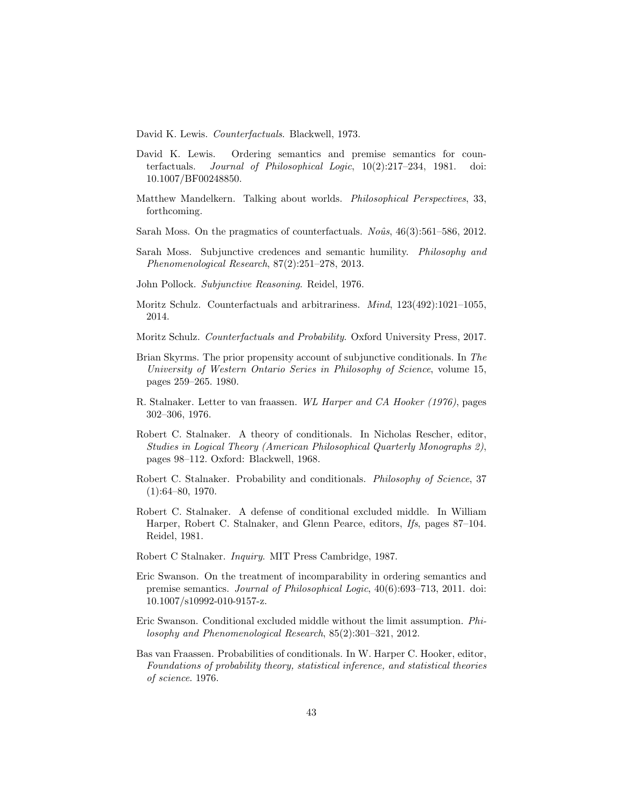David K. Lewis. Counterfactuals. Blackwell, 1973.

- David K. Lewis. Ordering semantics and premise semantics for counterfactuals. Journal of Philosophical Logic, 10(2):217–234, 1981. doi: 10.1007/BF00248850.
- Matthew Mandelkern. Talking about worlds. Philosophical Perspectives, 33, forthcoming.
- Sarah Moss. On the pragmatics of counterfactuals.  $N_0$  $\hat{u}$ s, 46(3):561–586, 2012.
- Sarah Moss. Subjunctive credences and semantic humility. Philosophy and Phenomenological Research, 87(2):251–278, 2013.
- John Pollock. Subjunctive Reasoning. Reidel, 1976.
- Moritz Schulz. Counterfactuals and arbitrariness. Mind, 123(492):1021–1055, 2014.
- Moritz Schulz. Counterfactuals and Probability. Oxford University Press, 2017.
- Brian Skyrms. The prior propensity account of subjunctive conditionals. In The University of Western Ontario Series in Philosophy of Science, volume 15, pages 259–265. 1980.
- R. Stalnaker. Letter to van fraassen. WL Harper and CA Hooker (1976), pages 302–306, 1976.
- Robert C. Stalnaker. A theory of conditionals. In Nicholas Rescher, editor, Studies in Logical Theory (American Philosophical Quarterly Monographs 2), pages 98–112. Oxford: Blackwell, 1968.
- Robert C. Stalnaker. Probability and conditionals. Philosophy of Science, 37 (1):64–80, 1970.
- Robert C. Stalnaker. A defense of conditional excluded middle. In William Harper, Robert C. Stalnaker, and Glenn Pearce, editors, Ifs, pages 87–104. Reidel, 1981.
- Robert C Stalnaker. Inquiry. MIT Press Cambridge, 1987.
- Eric Swanson. On the treatment of incomparability in ordering semantics and premise semantics. Journal of Philosophical Logic, 40(6):693–713, 2011. doi: 10.1007/s10992-010-9157-z.
- Eric Swanson. Conditional excluded middle without the limit assumption. Philosophy and Phenomenological Research, 85(2):301–321, 2012.
- Bas van Fraassen. Probabilities of conditionals. In W. Harper C. Hooker, editor, Foundations of probability theory, statistical inference, and statistical theories of science. 1976.